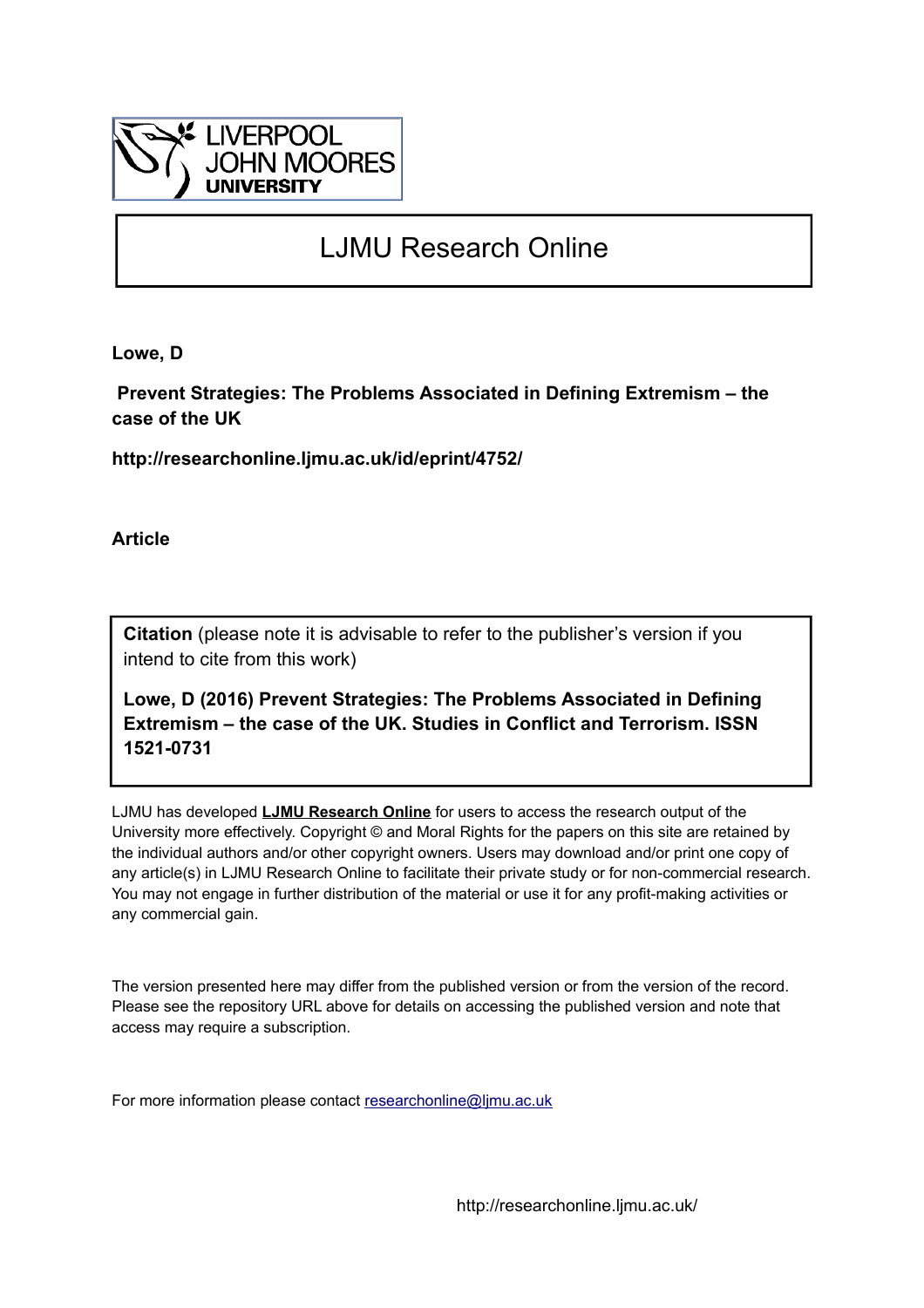

#### LJMU Research Online

**Lowe, D**

 **Prevent Strategies: The Problems Associated in Defining Extremism – the case of the UK**

**http://researchonline.ljmu.ac.uk/id/eprint/4752/**

**Article**

**Citation** (please note it is advisable to refer to the publisher's version if you intend to cite from this work)

**Lowe, D (2016) Prevent Strategies: The Problems Associated in Defining Extremism – the case of the UK. Studies in Conflict and Terrorism. ISSN 1521-0731** 

LJMU has developed **[LJMU Research Online](http://researchonline.ljmu.ac.uk/)** for users to access the research output of the University more effectively. Copyright © and Moral Rights for the papers on this site are retained by the individual authors and/or other copyright owners. Users may download and/or print one copy of any article(s) in LJMU Research Online to facilitate their private study or for non-commercial research. You may not engage in further distribution of the material or use it for any profit-making activities or any commercial gain.

The version presented here may differ from the published version or from the version of the record. Please see the repository URL above for details on accessing the published version and note that access may require a subscription.

For more information please contact [researchonline@ljmu.ac.uk](mailto:researchonline@ljmu.ac.uk)

http://researchonline.ljmu.ac.uk/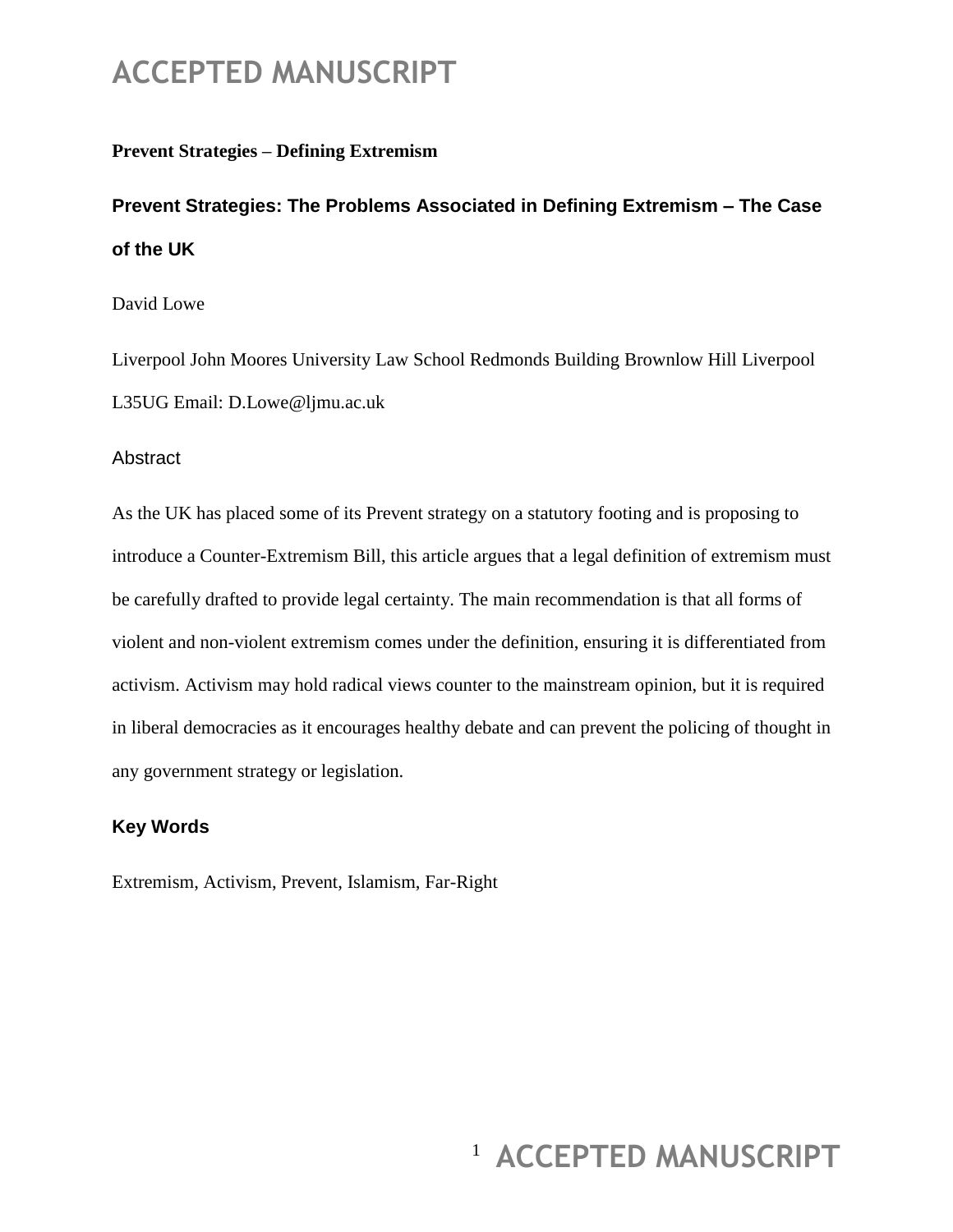#### **Prevent Strategies – Defining Extremism**

# **Prevent Strategies: The Problems Associated in Defining Extremism – The Case of the UK**

#### David Lowe

Liverpool John Moores University Law School Redmonds Building Brownlow Hill Liverpool L35UG Email: [D.Lowe@ljmu.ac.uk](mailto:D.Lowe@ljmu.ac.uk)

#### Abstract

As the UK has placed some of its Prevent strategy on a statutory footing and is proposing to introduce a Counter-Extremism Bill, this article argues that a legal definition of extremism must be carefully drafted to provide legal certainty. The main recommendation is that all forms of violent and non-violent extremism comes under the definition, ensuring it is differentiated from activism. Activism may hold radical views counter to the mainstream opinion, but it is required in liberal democracies as it encourages healthy debate and can prevent the policing of thought in any government strategy or legislation.

#### **Key Words**

Extremism, Activism, Prevent, Islamism, Far-Right

# <sup>1</sup> ACCEPTED MANUSCRIPT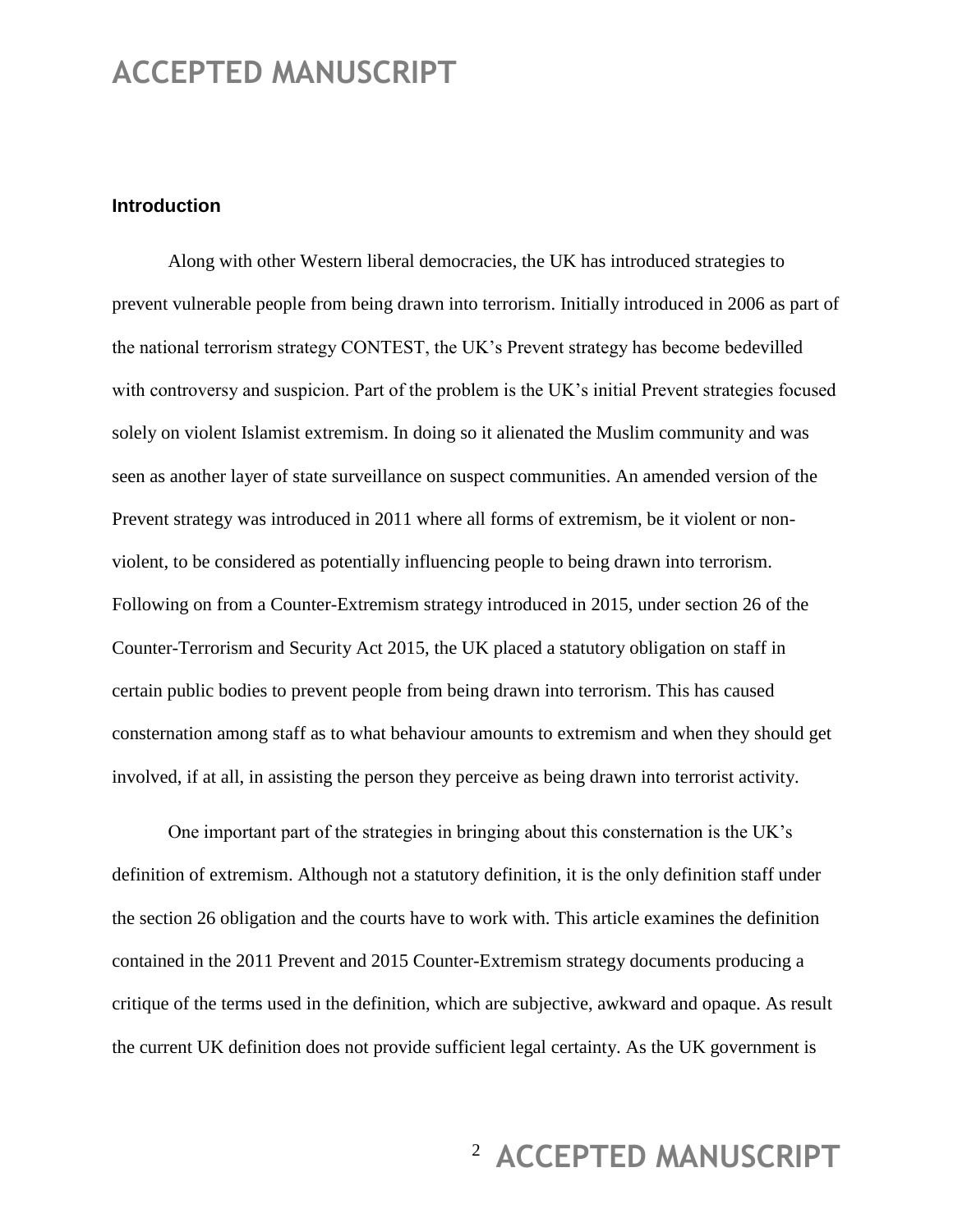#### **Introduction**

Along with other Western liberal democracies, the UK has introduced strategies to prevent vulnerable people from being drawn into terrorism. Initially introduced in 2006 as part of the national terrorism strategy CONTEST, the UK"s Prevent strategy has become bedevilled with controversy and suspicion. Part of the problem is the UK's initial Prevent strategies focused solely on violent Islamist extremism. In doing so it alienated the Muslim community and was seen as another layer of state surveillance on suspect communities. An amended version of the Prevent strategy was introduced in 2011 where all forms of extremism, be it violent or nonviolent, to be considered as potentially influencing people to being drawn into terrorism. Following on from a Counter-Extremism strategy introduced in 2015, under section 26 of the Counter-Terrorism and Security Act 2015, the UK placed a statutory obligation on staff in certain public bodies to prevent people from being drawn into terrorism. This has caused consternation among staff as to what behaviour amounts to extremism and when they should get involved, if at all, in assisting the person they perceive as being drawn into terrorist activity.

One important part of the strategies in bringing about this consternation is the UK"s definition of extremism. Although not a statutory definition, it is the only definition staff under the section 26 obligation and the courts have to work with. This article examines the definition contained in the 2011 Prevent and 2015 Counter-Extremism strategy documents producing a critique of the terms used in the definition, which are subjective, awkward and opaque. As result the current UK definition does not provide sufficient legal certainty. As the UK government is

# <sup>2</sup> ACCEPTED MANUSCRIPT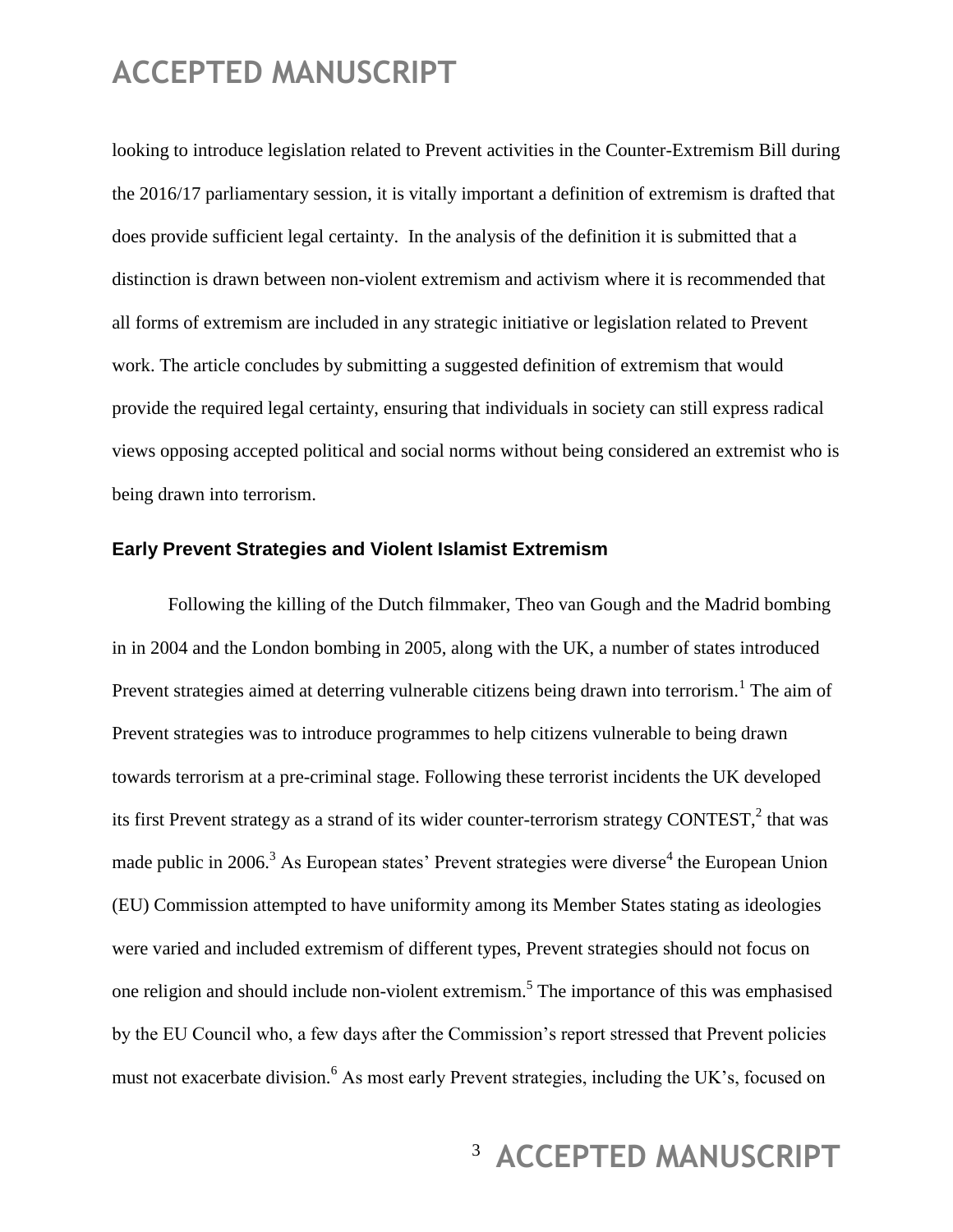looking to introduce legislation related to Prevent activities in the Counter-Extremism Bill during the 2016/17 parliamentary session, it is vitally important a definition of extremism is drafted that does provide sufficient legal certainty. In the analysis of the definition it is submitted that a distinction is drawn between non-violent extremism and activism where it is recommended that all forms of extremism are included in any strategic initiative or legislation related to Prevent work. The article concludes by submitting a suggested definition of extremism that would provide the required legal certainty, ensuring that individuals in society can still express radical views opposing accepted political and social norms without being considered an extremist who is being drawn into terrorism.

#### **Early Prevent Strategies and Violent Islamist Extremism**

Following the killing of the Dutch filmmaker, Theo van Gough and the Madrid bombing in in 2004 and the London bombing in 2005, along with the UK, a number of states introduced Prevent strategies aimed at deterring vulnerable citizens being drawn into terrorism.<sup>1</sup> The aim of Prevent strategies was to introduce programmes to help citizens vulnerable to being drawn towards terrorism at a pre-criminal stage. Following these terrorist incidents the UK developed its first Prevent strategy as a strand of its wider counter-terrorism strategy CONTEST, $^2$  that was made public in 2006.<sup>3</sup> As European states' Prevent strategies were diverse<sup>4</sup> the European Union (EU) Commission attempted to have uniformity among its Member States stating as ideologies were varied and included extremism of different types, Prevent strategies should not focus on one religion and should include non-violent extremism.<sup>5</sup> The importance of this was emphasised by the EU Council who, a few days after the Commission"s report stressed that Prevent policies must not exacerbate division.<sup>6</sup> As most early Prevent strategies, including the UK's, focused on

# <sup>3</sup> ACCEPTED MANUSCRIPT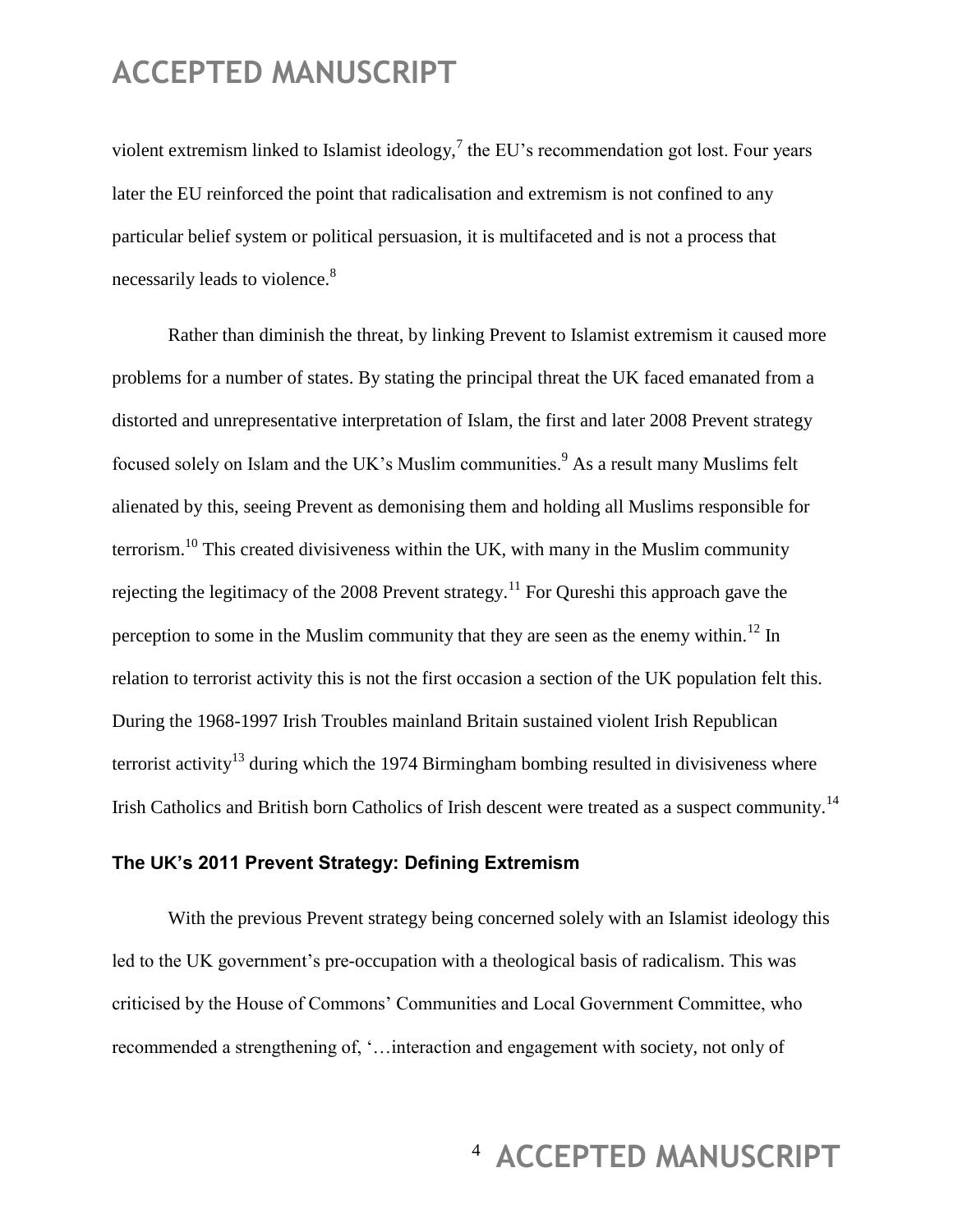violent extremism linked to Islamist ideology,<sup>7</sup> the EU's recommendation got lost. Four years later the EU reinforced the point that radicalisation and extremism is not confined to any particular belief system or political persuasion, it is multifaceted and is not a process that necessarily leads to violence.<sup>8</sup>

Rather than diminish the threat, by linking Prevent to Islamist extremism it caused more problems for a number of states. By stating the principal threat the UK faced emanated from a distorted and unrepresentative interpretation of Islam, the first and later 2008 Prevent strategy focused solely on Islam and the UK's Muslim communities.<sup>9</sup> As a result many Muslims felt alienated by this, seeing Prevent as demonising them and holding all Muslims responsible for terrorism.<sup>10</sup> This created divisiveness within the UK, with many in the Muslim community rejecting the legitimacy of the 2008 Prevent strategy.<sup>11</sup> For Qureshi this approach gave the perception to some in the Muslim community that they are seen as the enemy within.<sup>12</sup> In relation to terrorist activity this is not the first occasion a section of the UK population felt this. During the 1968-1997 Irish Troubles mainland Britain sustained violent Irish Republican terrorist activity<sup>13</sup> during which the 1974 Birmingham bombing resulted in divisiveness where Irish Catholics and British born Catholics of Irish descent were treated as a suspect community.<sup>14</sup>

#### **The UK's 2011 Prevent Strategy: Defining Extremism**

With the previous Prevent strategy being concerned solely with an Islamist ideology this led to the UK government's pre-occupation with a theological basis of radicalism. This was criticised by the House of Commons" Communities and Local Government Committee, who recommended a strengthening of, "…interaction and engagement with society, not only of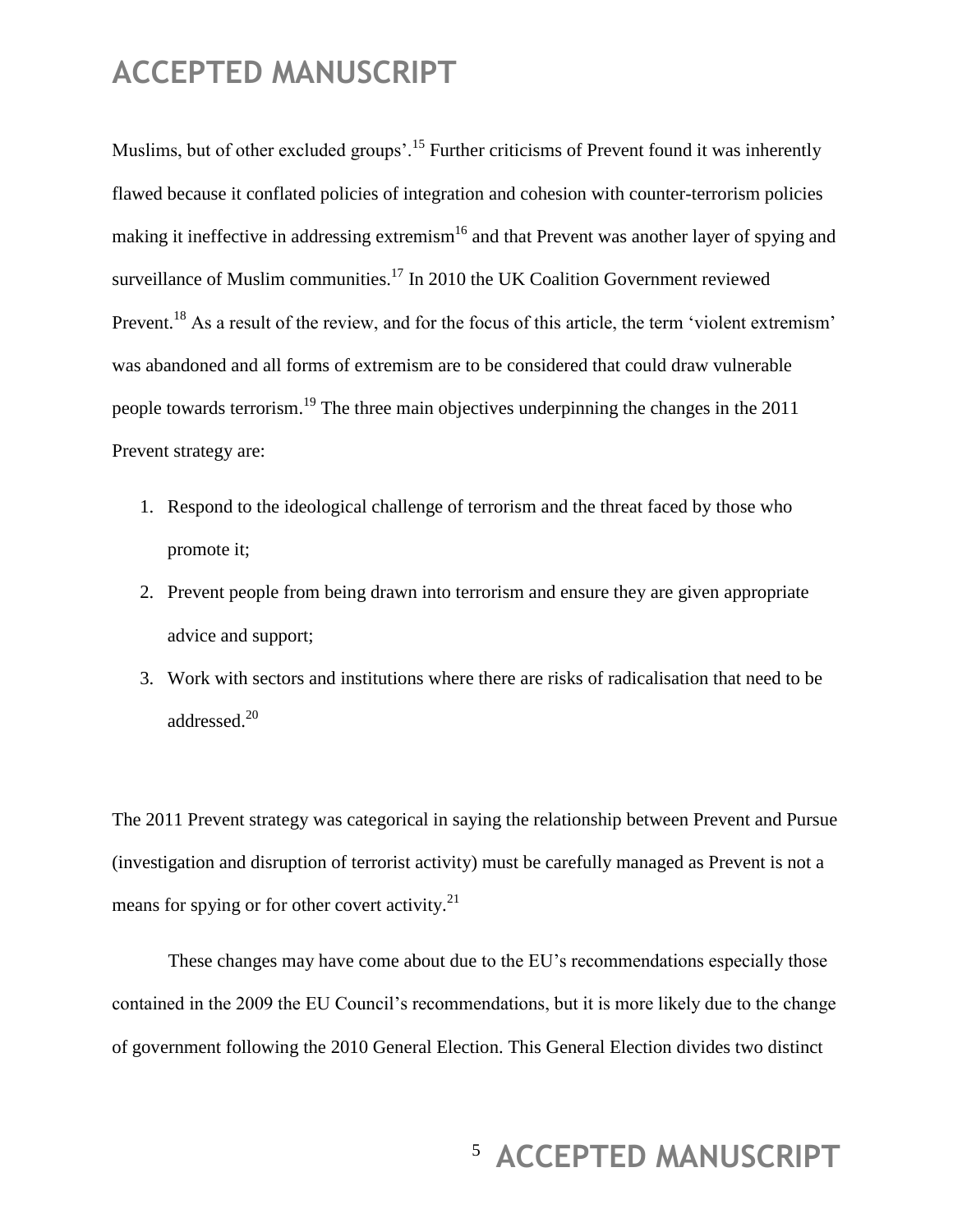Muslims, but of other excluded groups'.<sup>15</sup> Further criticisms of Prevent found it was inherently flawed because it conflated policies of integration and cohesion with counter-terrorism policies making it ineffective in addressing extremism<sup>16</sup> and that Prevent was another layer of spying and surveillance of Muslim communities.<sup>17</sup> In 2010 the UK Coalition Government reviewed Prevent.<sup>18</sup> As a result of the review, and for the focus of this article, the term 'violent extremism' was abandoned and all forms of extremism are to be considered that could draw vulnerable people towards terrorism.<sup>19</sup> The three main objectives underpinning the changes in the 2011 Prevent strategy are:

- 1. Respond to the ideological challenge of terrorism and the threat faced by those who promote it;
- 2. Prevent people from being drawn into terrorism and ensure they are given appropriate advice and support;
- 3. Work with sectors and institutions where there are risks of radicalisation that need to be addressed.<sup>20</sup>

The 2011 Prevent strategy was categorical in saying the relationship between Prevent and Pursue (investigation and disruption of terrorist activity) must be carefully managed as Prevent is not a means for spying or for other covert activity. $2<sup>1</sup>$ 

These changes may have come about due to the EU"s recommendations especially those contained in the 2009 the EU Council"s recommendations, but it is more likely due to the change of government following the 2010 General Election. This General Election divides two distinct

# <sup>5</sup> ACCEPTED MANUSCRIPT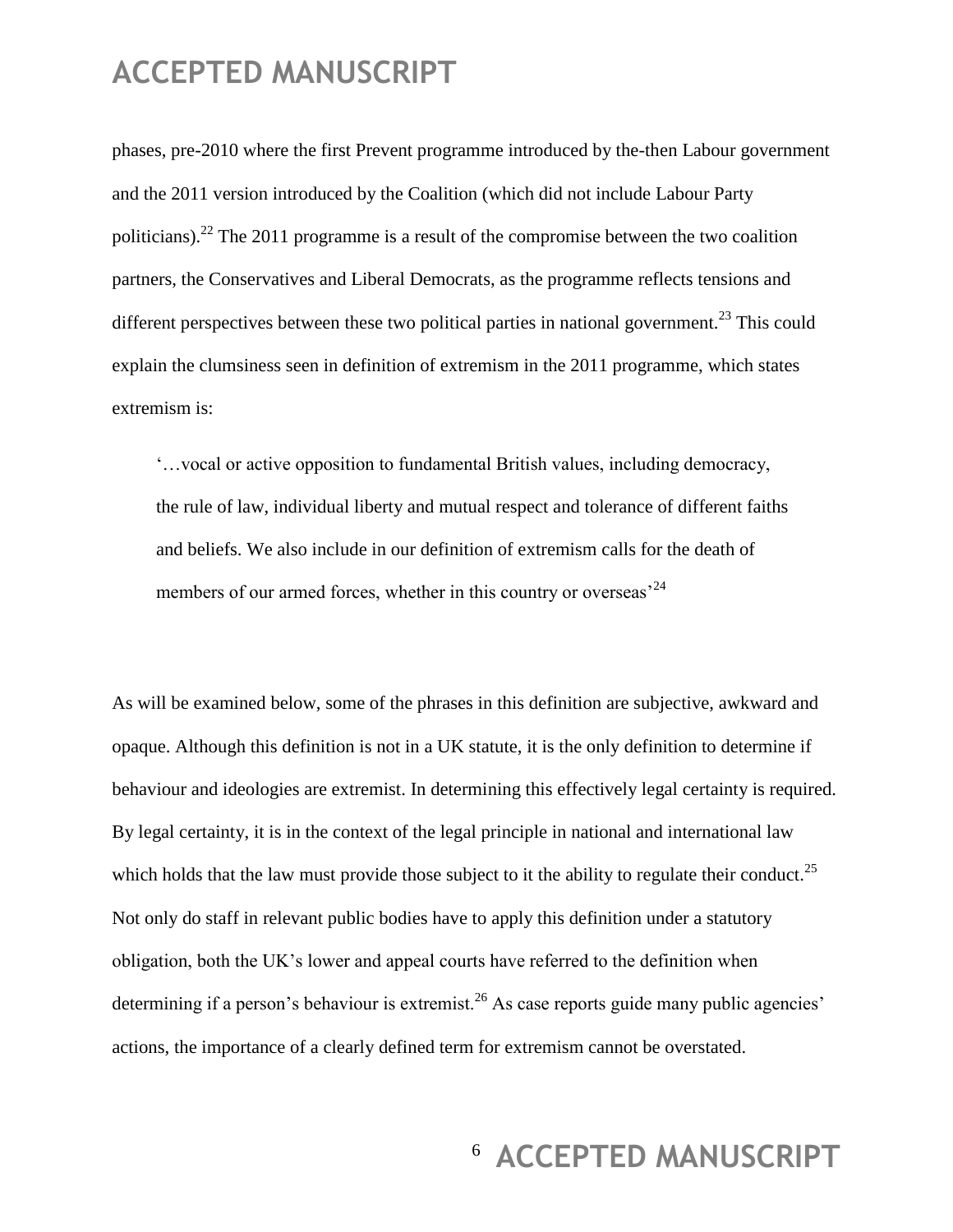phases, pre-2010 where the first Prevent programme introduced by the-then Labour government and the 2011 version introduced by the Coalition (which did not include Labour Party politicians).<sup>22</sup> The 2011 programme is a result of the compromise between the two coalition partners, the Conservatives and Liberal Democrats, as the programme reflects tensions and different perspectives between these two political parties in national government.<sup>23</sup> This could explain the clumsiness seen in definition of extremism in the 2011 programme, which states extremism is:

"…vocal or active opposition to fundamental British values, including democracy, the rule of law, individual liberty and mutual respect and tolerance of different faiths and beliefs. We also include in our definition of extremism calls for the death of members of our armed forces, whether in this country or overseas<sup>, 24</sup>

As will be examined below, some of the phrases in this definition are subjective, awkward and opaque. Although this definition is not in a UK statute, it is the only definition to determine if behaviour and ideologies are extremist. In determining this effectively legal certainty is required. By legal certainty, it is in the context of the legal principle in national and international law which holds that the law must provide those subject to it the ability to regulate their conduct.<sup>25</sup> Not only do staff in relevant public bodies have to apply this definition under a statutory obligation, both the UK"s lower and appeal courts have referred to the definition when determining if a person's behaviour is extremist.<sup>26</sup> As case reports guide many public agencies' actions, the importance of a clearly defined term for extremism cannot be overstated.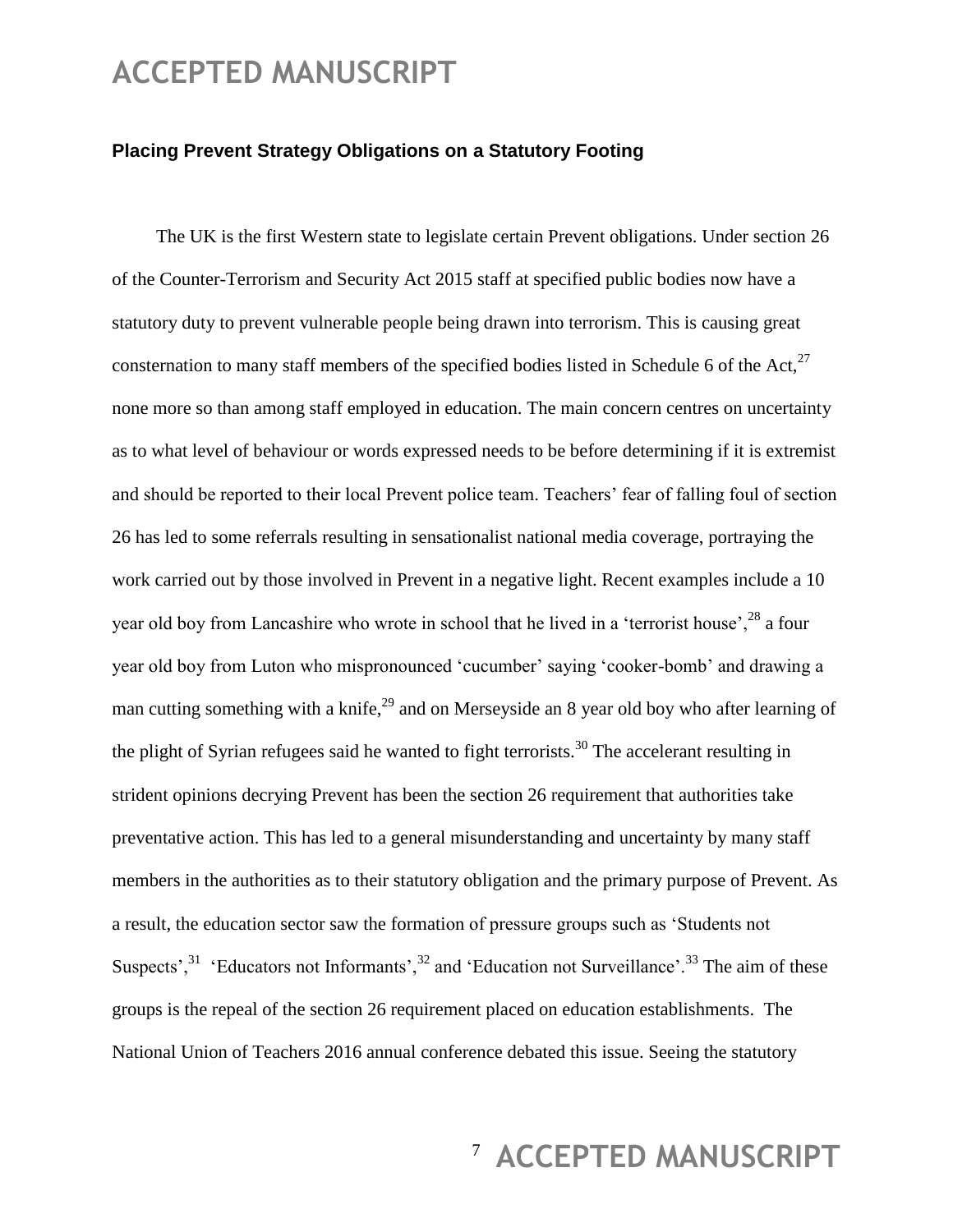#### **Placing Prevent Strategy Obligations on a Statutory Footing**

The UK is the first Western state to legislate certain Prevent obligations. Under section 26 of the Counter-Terrorism and Security Act 2015 staff at specified public bodies now have a statutory duty to prevent vulnerable people being drawn into terrorism. This is causing great consternation to many staff members of the specified bodies listed in Schedule 6 of the Act, $^{27}$ none more so than among staff employed in education. The main concern centres on uncertainty as to what level of behaviour or words expressed needs to be before determining if it is extremist and should be reported to their local Prevent police team. Teachers" fear of falling foul of section 26 has led to some referrals resulting in sensationalist national media coverage, portraying the work carried out by those involved in Prevent in a negative light. Recent examples include a 10 year old boy from Lancashire who wrote in school that he lived in a 'terrorist house',<sup>28</sup> a four year old boy from Luton who mispronounced 'cucumber' saying 'cooker-bomb' and drawing a man cutting something with a knife,  $29$  and on Merseyside an 8 year old boy who after learning of the plight of Syrian refugees said he wanted to fight terrorists.<sup>30</sup> The accelerant resulting in strident opinions decrying Prevent has been the section 26 requirement that authorities take preventative action. This has led to a general misunderstanding and uncertainty by many staff members in the authorities as to their statutory obligation and the primary purpose of Prevent. As a result, the education sector saw the formation of pressure groups such as "Students not Suspects',  $31$  'Educators not Informants',  $32$  and 'Education not Surveillance'.  $33$  The aim of these groups is the repeal of the section 26 requirement placed on education establishments. The National Union of Teachers 2016 annual conference debated this issue. Seeing the statutory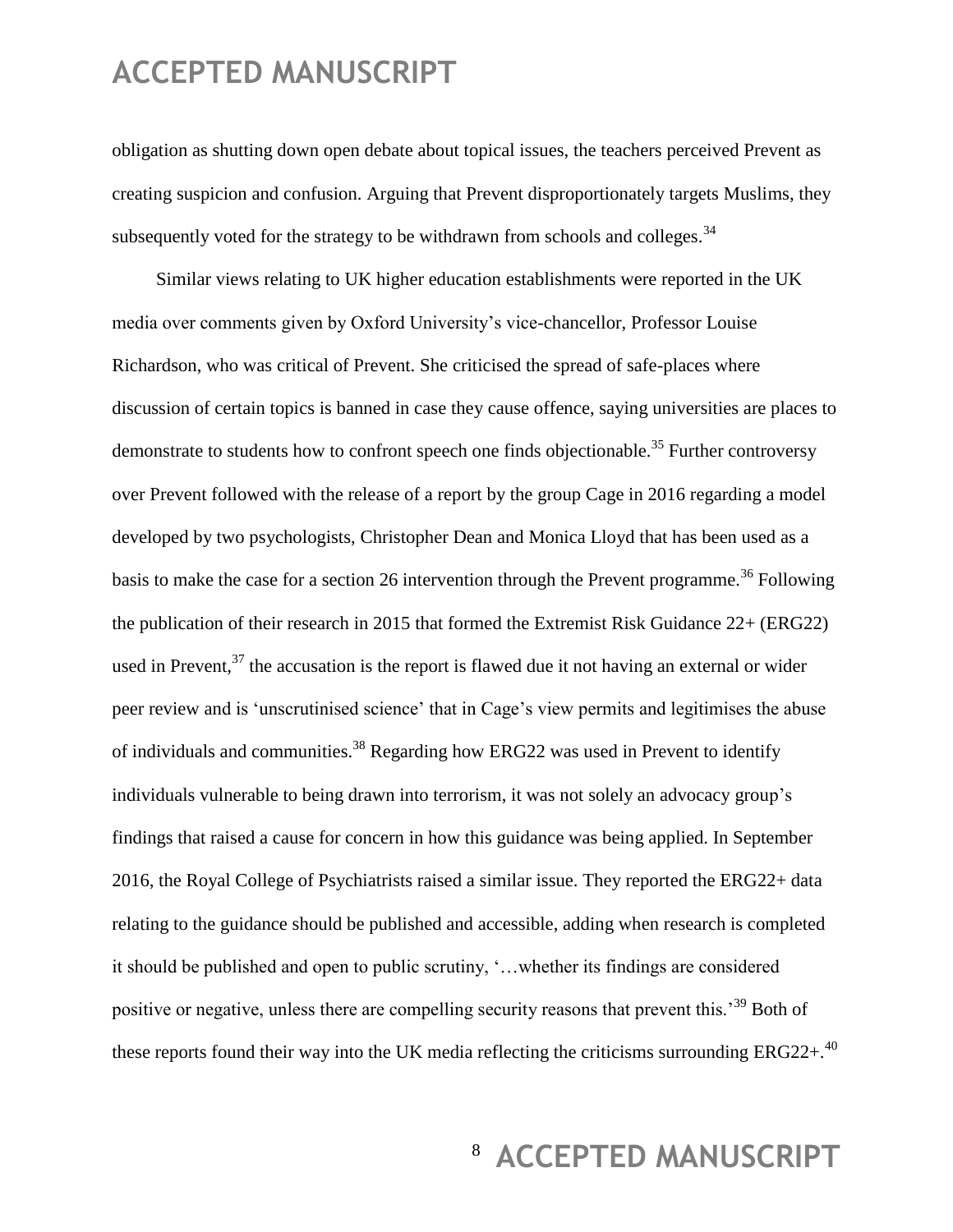obligation as shutting down open debate about topical issues, the teachers perceived Prevent as creating suspicion and confusion. Arguing that Prevent disproportionately targets Muslims, they subsequently voted for the strategy to be withdrawn from schools and colleges.<sup>34</sup>

Similar views relating to UK higher education establishments were reported in the UK media over comments given by Oxford University"s vice-chancellor, Professor Louise Richardson, who was critical of Prevent. She criticised the spread of safe-places where discussion of certain topics is banned in case they cause offence, saying universities are places to demonstrate to students how to confront speech one finds objectionable.<sup>35</sup> Further controversy over Prevent followed with the release of a report by the group Cage in 2016 regarding a model developed by two psychologists, Christopher Dean and Monica Lloyd that has been used as a basis to make the case for a section 26 intervention through the Prevent programme.<sup>36</sup> Following the publication of their research in 2015 that formed the Extremist Risk Guidance 22+ (ERG22) used in Prevent, $37$  the accusation is the report is flawed due it not having an external or wider peer review and is "unscrutinised science" that in Cage"s view permits and legitimises the abuse of individuals and communities.<sup>38</sup> Regarding how ERG22 was used in Prevent to identify individuals vulnerable to being drawn into terrorism, it was not solely an advocacy group"s findings that raised a cause for concern in how this guidance was being applied. In September 2016, the Royal College of Psychiatrists raised a similar issue. They reported the ERG22+ data relating to the guidance should be published and accessible, adding when research is completed it should be published and open to public scrutiny, "…whether its findings are considered positive or negative, unless there are compelling security reasons that prevent this.<sup>39</sup> Both of these reports found their way into the UK media reflecting the criticisms surrounding  $ERG22+<sup>40</sup>$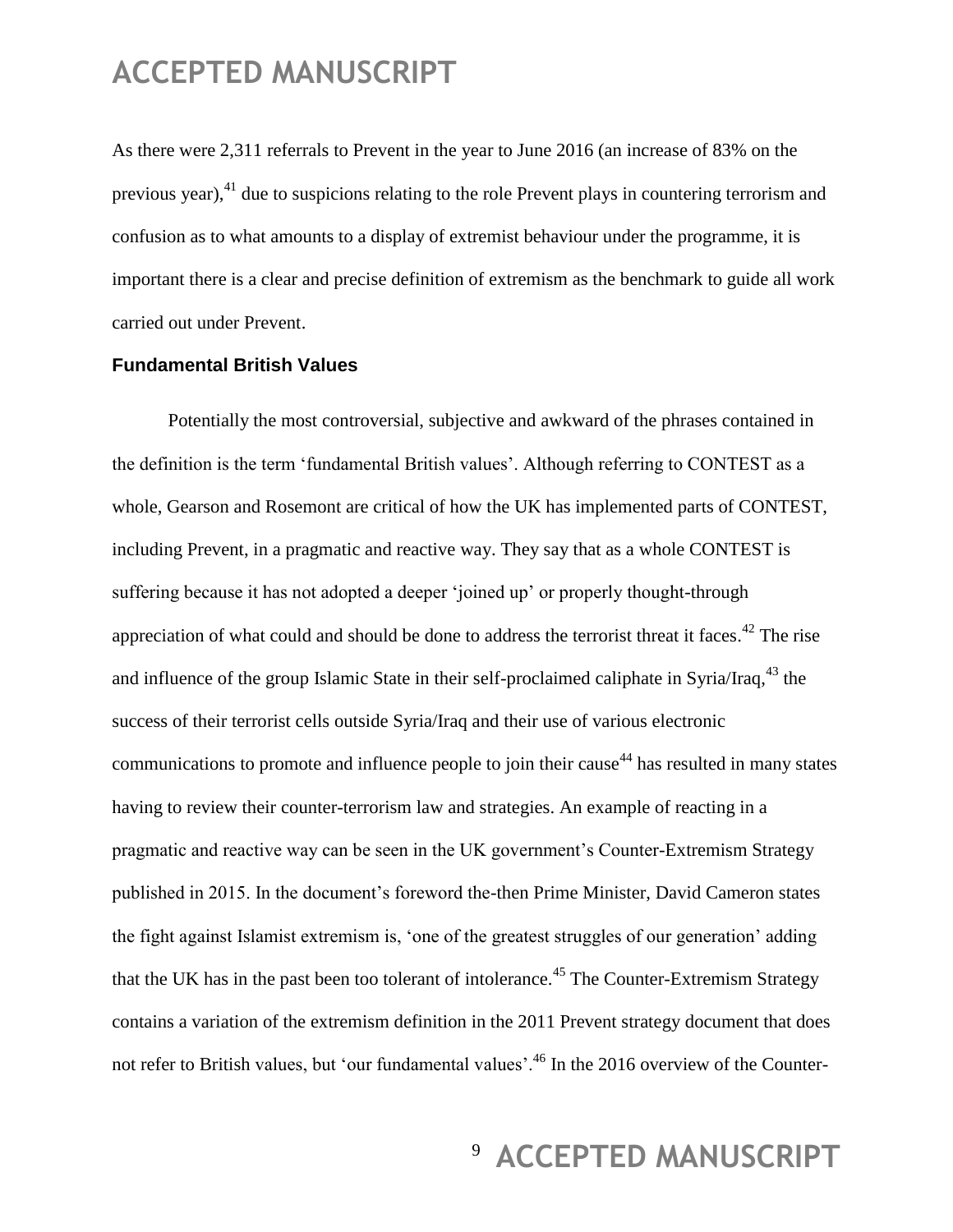As there were 2,311 referrals to Prevent in the year to June 2016 (an increase of 83% on the previous year), $41$  due to suspicions relating to the role Prevent plays in countering terrorism and confusion as to what amounts to a display of extremist behaviour under the programme, it is important there is a clear and precise definition of extremism as the benchmark to guide all work carried out under Prevent.

#### **Fundamental British Values**

Potentially the most controversial, subjective and awkward of the phrases contained in the definition is the term "fundamental British values". Although referring to CONTEST as a whole, Gearson and Rosemont are critical of how the UK has implemented parts of CONTEST, including Prevent, in a pragmatic and reactive way. They say that as a whole CONTEST is suffering because it has not adopted a deeper "joined up" or properly thought-through appreciation of what could and should be done to address the terrorist threat it faces.<sup>42</sup> The rise and influence of the group Islamic State in their self-proclaimed caliphate in Syria/Iraq, $^{43}$  the success of their terrorist cells outside Syria/Iraq and their use of various electronic communications to promote and influence people to join their cause<sup>44</sup> has resulted in many states having to review their counter-terrorism law and strategies. An example of reacting in a pragmatic and reactive way can be seen in the UK government"s Counter-Extremism Strategy published in 2015. In the document"s foreword the-then Prime Minister, David Cameron states the fight against Islamist extremism is, "one of the greatest struggles of our generation" adding that the UK has in the past been too tolerant of intolerance.<sup>45</sup> The Counter-Extremism Strategy contains a variation of the extremism definition in the 2011 Prevent strategy document that does not refer to British values, but 'our fundamental values'.<sup>46</sup> In the 2016 overview of the Counter-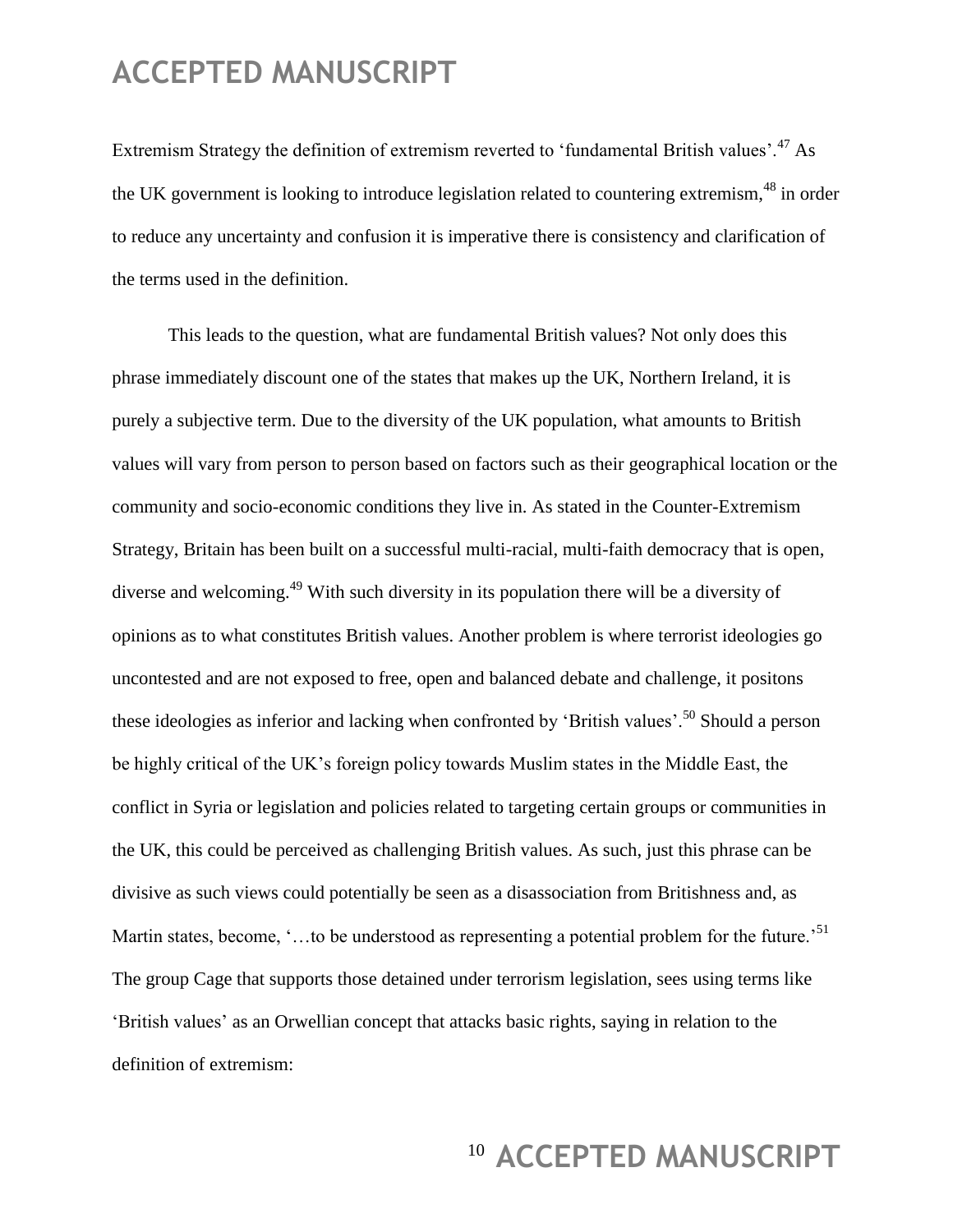Extremism Strategy the definition of extremism reverted to 'fundamental British values'.<sup>47</sup> As the UK government is looking to introduce legislation related to countering extremism, <sup>48</sup> in order to reduce any uncertainty and confusion it is imperative there is consistency and clarification of the terms used in the definition.

This leads to the question, what are fundamental British values? Not only does this phrase immediately discount one of the states that makes up the UK, Northern Ireland, it is purely a subjective term. Due to the diversity of the UK population, what amounts to British values will vary from person to person based on factors such as their geographical location or the community and socio-economic conditions they live in. As stated in the Counter-Extremism Strategy, Britain has been built on a successful multi-racial, multi-faith democracy that is open, diverse and welcoming.<sup>49</sup> With such diversity in its population there will be a diversity of opinions as to what constitutes British values. Another problem is where terrorist ideologies go uncontested and are not exposed to free, open and balanced debate and challenge, it positons these ideologies as inferior and lacking when confronted by 'British values'.<sup>50</sup> Should a person be highly critical of the UK"s foreign policy towards Muslim states in the Middle East, the conflict in Syria or legislation and policies related to targeting certain groups or communities in the UK, this could be perceived as challenging British values. As such, just this phrase can be divisive as such views could potentially be seen as a disassociation from Britishness and, as Martin states, become, "...to be understood as representing a potential problem for the future.<sup>51</sup> The group Cage that supports those detained under terrorism legislation, sees using terms like "British values" as an Orwellian concept that attacks basic rights, saying in relation to the definition of extremism:

# <sup>10</sup> ACCEPTED MANUSCRIPT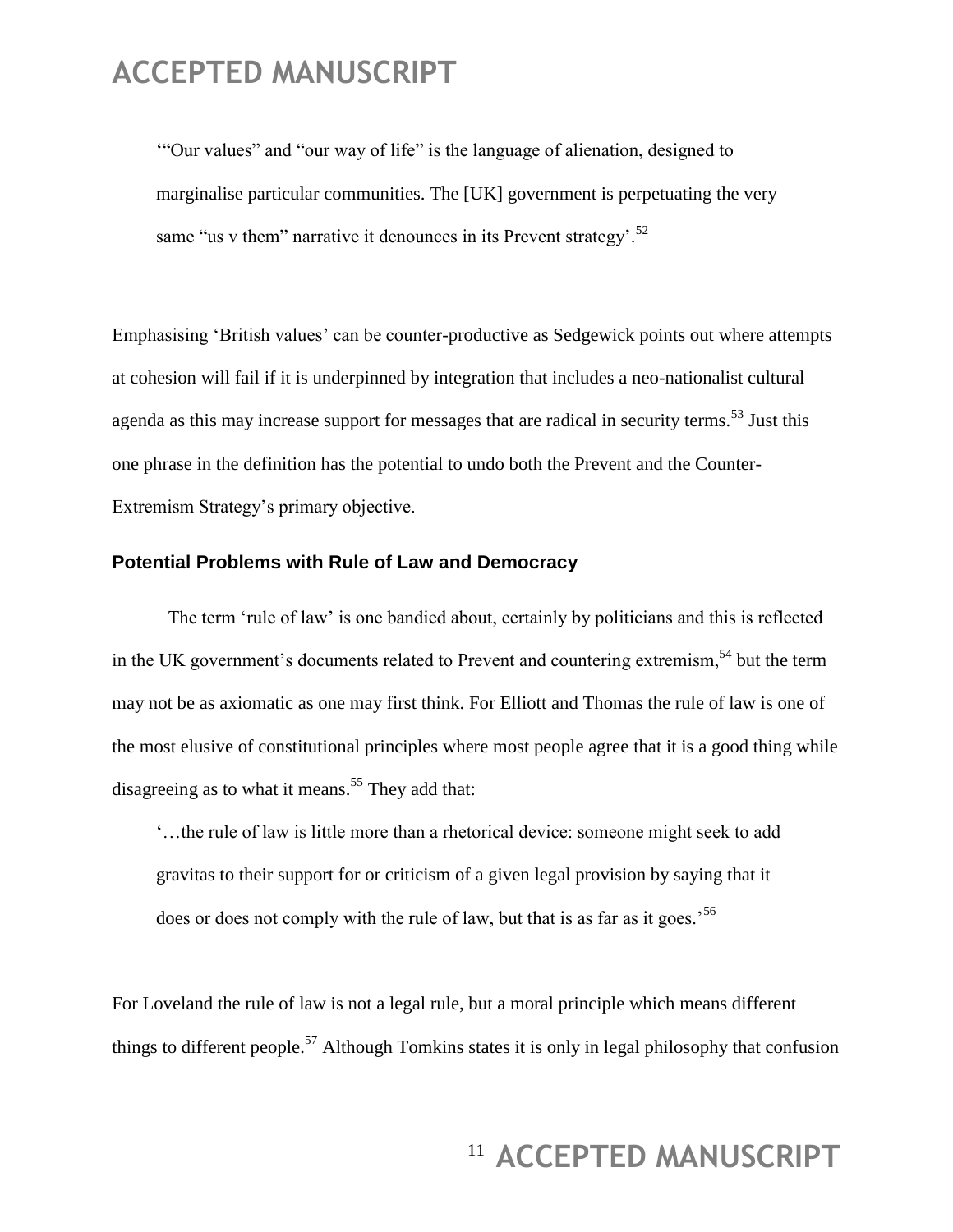""Our values" and "our way of life" is the language of alienation, designed to marginalise particular communities. The [UK] government is perpetuating the very same "us v them" narrative it denounces in its Prevent strategy".  $52$ 

Emphasising 'British values' can be counter-productive as Sedgewick points out where attempts at cohesion will fail if it is underpinned by integration that includes a neo-nationalist cultural agenda as this may increase support for messages that are radical in security terms.<sup>53</sup> Just this one phrase in the definition has the potential to undo both the Prevent and the Counter-Extremism Strategy"s primary objective.

#### **Potential Problems with Rule of Law and Democracy**

The term "rule of law" is one bandied about, certainly by politicians and this is reflected in the UK government's documents related to Prevent and countering extremism,  $54$  but the term may not be as axiomatic as one may first think. For Elliott and Thomas the rule of law is one of the most elusive of constitutional principles where most people agree that it is a good thing while disagreeing as to what it means.<sup>55</sup> They add that:

"…the rule of law is little more than a rhetorical device: someone might seek to add gravitas to their support for or criticism of a given legal provision by saying that it does or does not comply with the rule of law, but that is as far as it goes.<sup>56</sup>

For Loveland the rule of law is not a legal rule, but a moral principle which means different things to different people.<sup>57</sup> Although Tomkins states it is only in legal philosophy that confusion

### <sup>11</sup> ACCEPTED MANUSCRIPT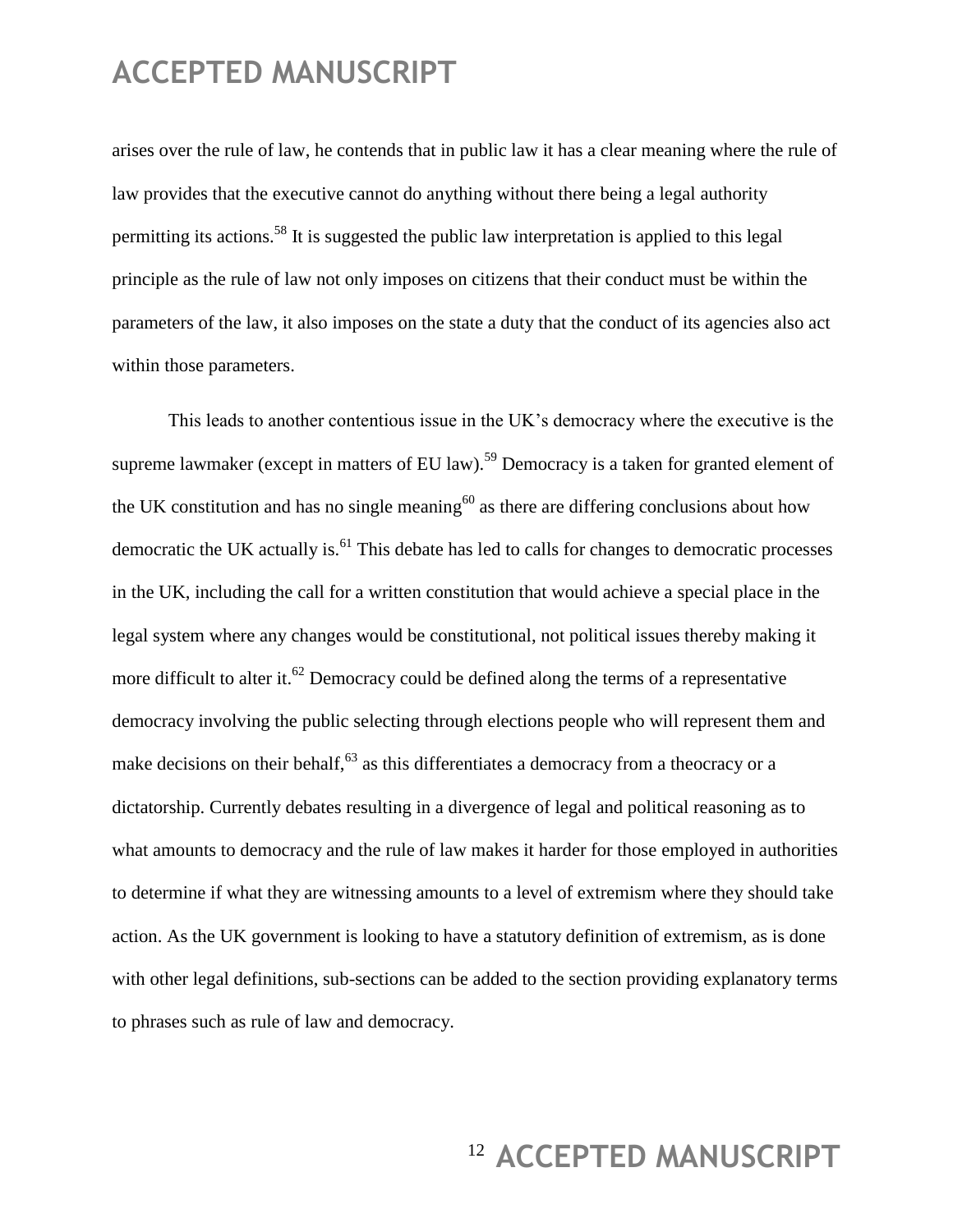arises over the rule of law, he contends that in public law it has a clear meaning where the rule of law provides that the executive cannot do anything without there being a legal authority permitting its actions.<sup>58</sup> It is suggested the public law interpretation is applied to this legal principle as the rule of law not only imposes on citizens that their conduct must be within the parameters of the law, it also imposes on the state a duty that the conduct of its agencies also act within those parameters.

This leads to another contentious issue in the UK"s democracy where the executive is the supreme lawmaker (except in matters of EU law).<sup>59</sup> Democracy is a taken for granted element of the UK constitution and has no single meaning<sup>60</sup> as there are differing conclusions about how democratic the UK actually is. $<sup>61</sup>$  This debate has led to calls for changes to democratic processes</sup> in the UK, including the call for a written constitution that would achieve a special place in the legal system where any changes would be constitutional, not political issues thereby making it more difficult to alter it.<sup>62</sup> Democracy could be defined along the terms of a representative democracy involving the public selecting through elections people who will represent them and make decisions on their behalf,  $63$  as this differentiates a democracy from a theocracy or a dictatorship. Currently debates resulting in a divergence of legal and political reasoning as to what amounts to democracy and the rule of law makes it harder for those employed in authorities to determine if what they are witnessing amounts to a level of extremism where they should take action. As the UK government is looking to have a statutory definition of extremism, as is done with other legal definitions, sub-sections can be added to the section providing explanatory terms to phrases such as rule of law and democracy.

# <sup>12</sup> ACCEPTED MANUSCRIPT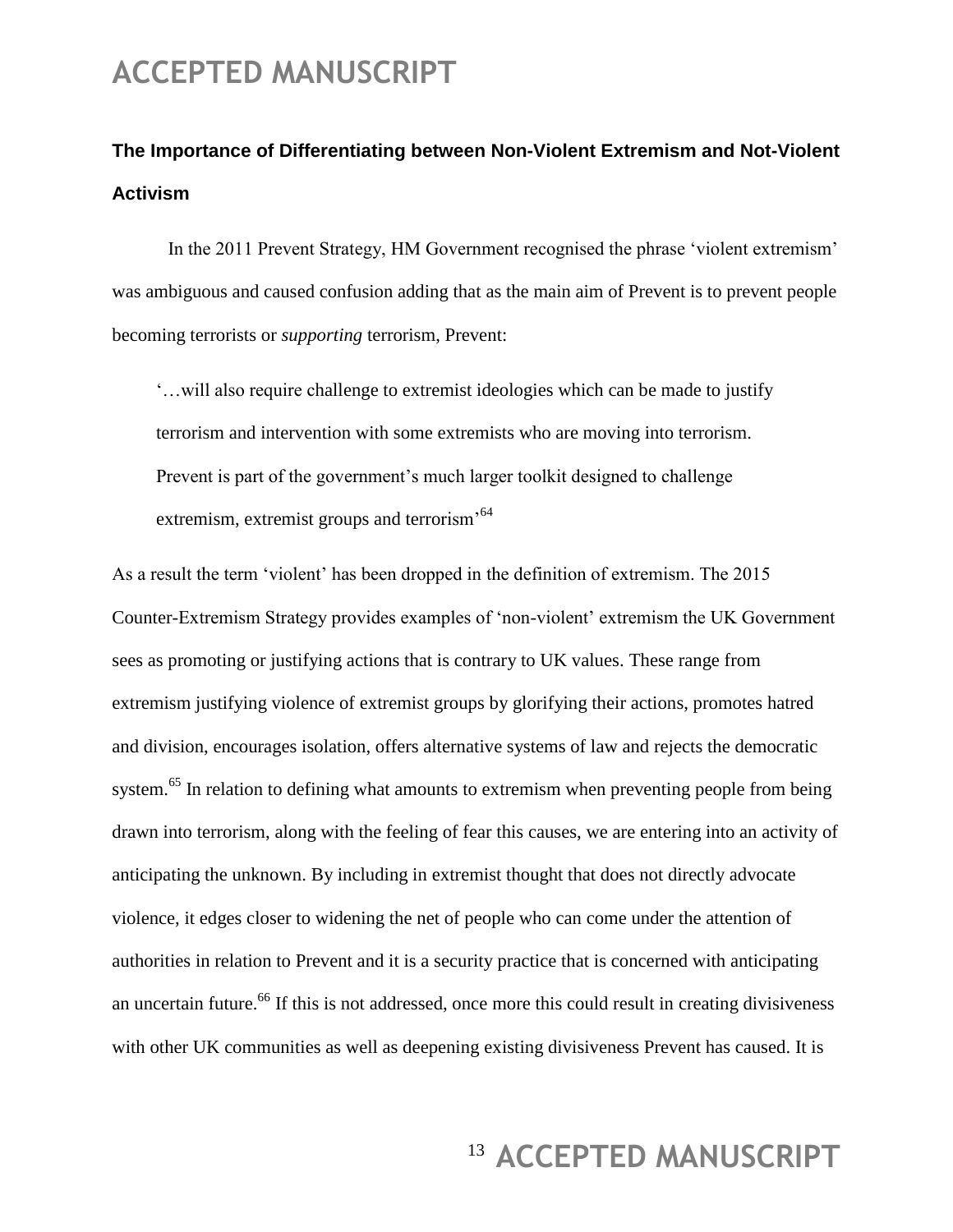#### **The Importance of Differentiating between Non-Violent Extremism and Not-Violent Activism**

In the 2011 Prevent Strategy, HM Government recognised the phrase "violent extremism" was ambiguous and caused confusion adding that as the main aim of Prevent is to prevent people becoming terrorists or *supporting* terrorism, Prevent:

"…will also require challenge to extremist ideologies which can be made to justify terrorism and intervention with some extremists who are moving into terrorism. Prevent is part of the government's much larger toolkit designed to challenge extremism, extremist groups and terrorism<sup>564</sup>

As a result the term 'violent' has been dropped in the definition of extremism. The 2015 Counter-Extremism Strategy provides examples of "non-violent" extremism the UK Government sees as promoting or justifying actions that is contrary to UK values. These range from extremism justifying violence of extremist groups by glorifying their actions, promotes hatred and division, encourages isolation, offers alternative systems of law and rejects the democratic system.<sup>65</sup> In relation to defining what amounts to extremism when preventing people from being drawn into terrorism, along with the feeling of fear this causes, we are entering into an activity of anticipating the unknown. By including in extremist thought that does not directly advocate violence, it edges closer to widening the net of people who can come under the attention of authorities in relation to Prevent and it is a security practice that is concerned with anticipating an uncertain future.<sup>66</sup> If this is not addressed, once more this could result in creating divisiveness with other UK communities as well as deepening existing divisiveness Prevent has caused. It is

# <sup>13</sup> ACCEPTED MANUSCRIPT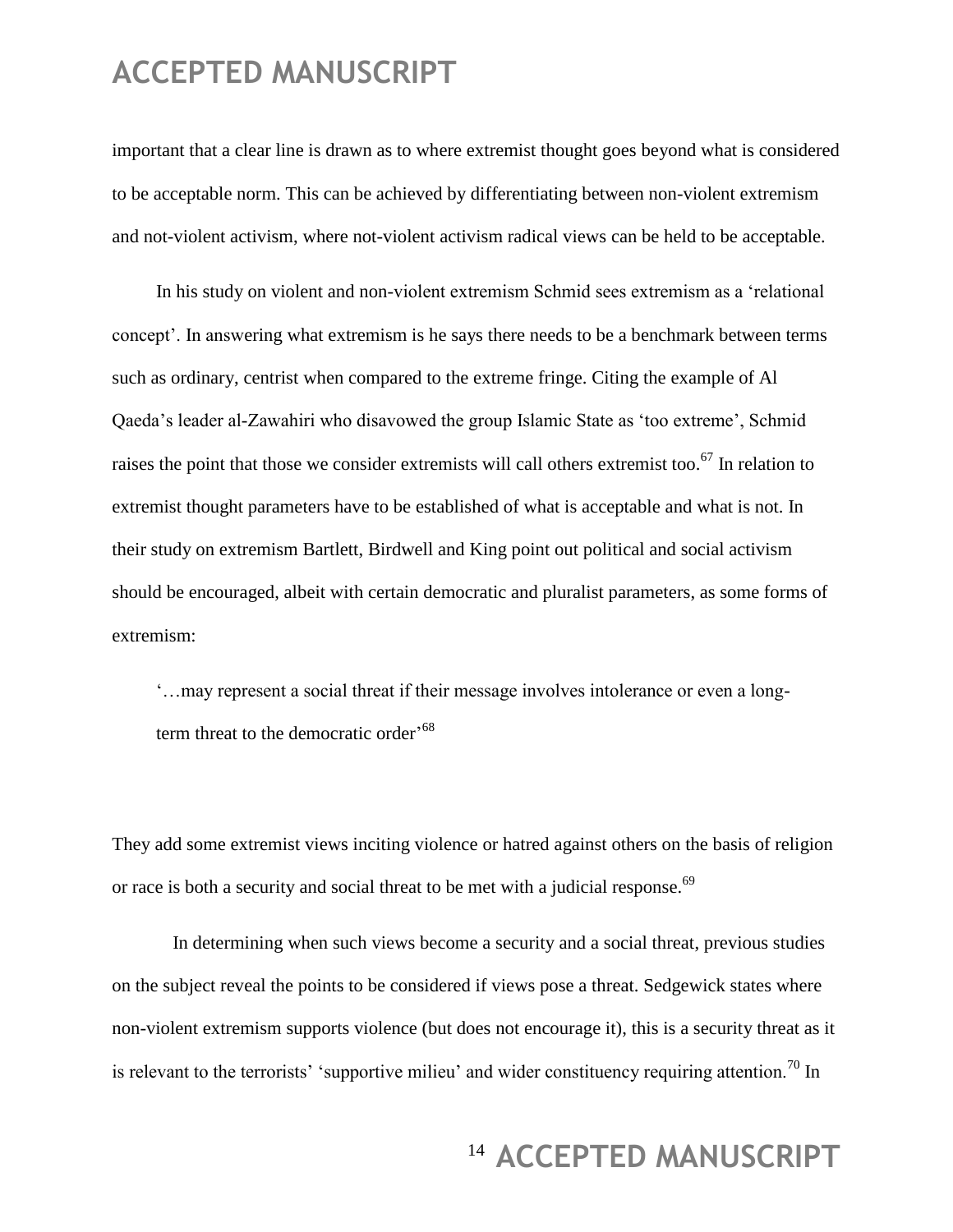important that a clear line is drawn as to where extremist thought goes beyond what is considered to be acceptable norm. This can be achieved by differentiating between non-violent extremism and not-violent activism, where not-violent activism radical views can be held to be acceptable.

In his study on violent and non-violent extremism Schmid sees extremism as a "relational concept". In answering what extremism is he says there needs to be a benchmark between terms such as ordinary, centrist when compared to the extreme fringe. Citing the example of Al Qaeda"s leader al-Zawahiri who disavowed the group Islamic State as "too extreme", Schmid raises the point that those we consider extremists will call others extremist too.<sup>67</sup> In relation to extremist thought parameters have to be established of what is acceptable and what is not. In their study on extremism Bartlett, Birdwell and King point out political and social activism should be encouraged, albeit with certain democratic and pluralist parameters, as some forms of extremism:

"…may represent a social threat if their message involves intolerance or even a longterm threat to the democratic order<sup>'68</sup>

They add some extremist views inciting violence or hatred against others on the basis of religion or race is both a security and social threat to be met with a judicial response.<sup>69</sup>

In determining when such views become a security and a social threat, previous studies on the subject reveal the points to be considered if views pose a threat. Sedgewick states where non-violent extremism supports violence (but does not encourage it), this is a security threat as it is relevant to the terrorists' 'supportive milieu' and wider constituency requiring attention.<sup>70</sup> In

### <sup>14</sup> ACCEPTED MANUSCRIPT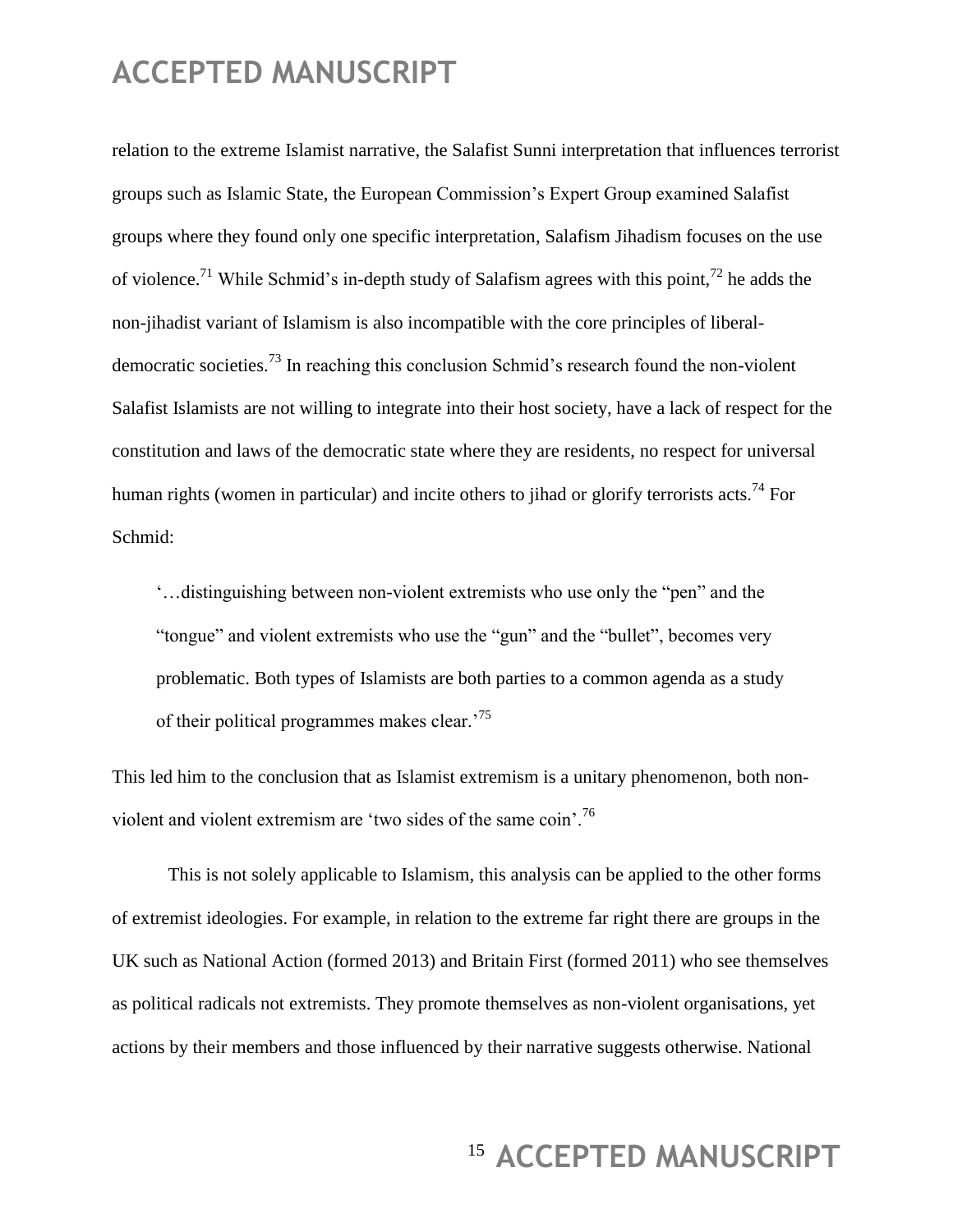relation to the extreme Islamist narrative, the Salafist Sunni interpretation that influences terrorist groups such as Islamic State, the European Commission"s Expert Group examined Salafist groups where they found only one specific interpretation, Salafism Jihadism focuses on the use of violence.<sup>71</sup> While Schmid's in-depth study of Salafism agrees with this point.<sup>72</sup> he adds the non-jihadist variant of Islamism is also incompatible with the core principles of liberaldemocratic societies.<sup>73</sup> In reaching this conclusion Schmid's research found the non-violent Salafist Islamists are not willing to integrate into their host society, have a lack of respect for the constitution and laws of the democratic state where they are residents, no respect for universal human rights (women in particular) and incite others to jihad or glorify terrorists acts.<sup>74</sup> For Schmid:

"…distinguishing between non-violent extremists who use only the "pen" and the "tongue" and violent extremists who use the "gun" and the "bullet", becomes very problematic. Both types of Islamists are both parties to a common agenda as a study of their political programmes makes clear.<sup>75</sup>

This led him to the conclusion that as Islamist extremism is a unitary phenomenon, both nonviolent and violent extremism are 'two sides of the same coin'.<sup>76</sup>

This is not solely applicable to Islamism, this analysis can be applied to the other forms of extremist ideologies. For example, in relation to the extreme far right there are groups in the UK such as National Action (formed 2013) and Britain First (formed 2011) who see themselves as political radicals not extremists. They promote themselves as non-violent organisations, yet actions by their members and those influenced by their narrative suggests otherwise. National

#### <sup>15</sup> ACCEPTED MANUSCRIPT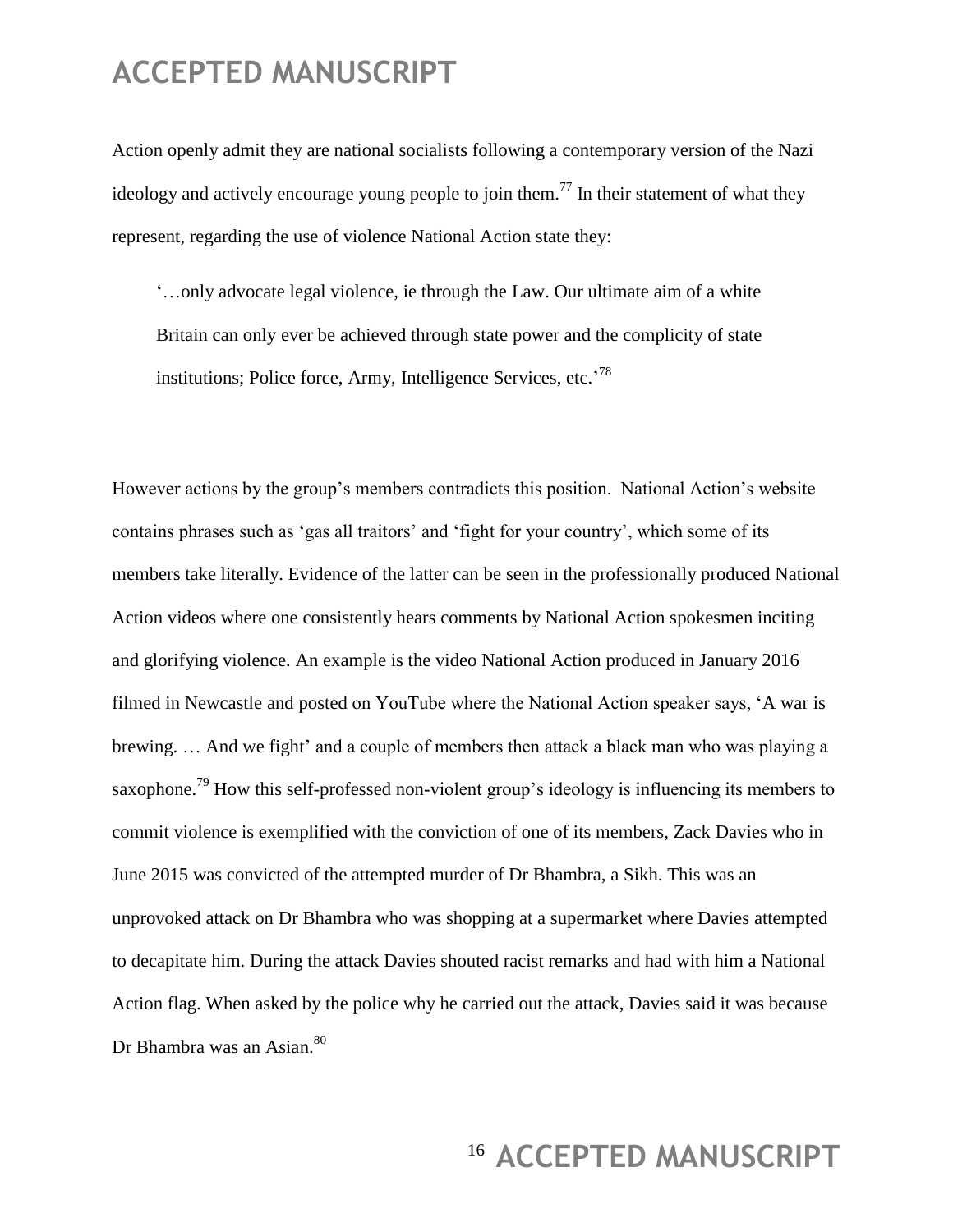Action openly admit they are national socialists following a contemporary version of the Nazi ideology and actively encourage young people to join them.<sup>77</sup> In their statement of what they represent, regarding the use of violence National Action state they:

"…only advocate legal violence, ie through the Law. Our ultimate aim of a white Britain can only ever be achieved through state power and the complicity of state institutions; Police force, Army, Intelligence Services, etc.<sup>78</sup>

However actions by the group"s members contradicts this position. National Action"s website contains phrases such as "gas all traitors" and "fight for your country", which some of its members take literally. Evidence of the latter can be seen in the professionally produced National Action videos where one consistently hears comments by National Action spokesmen inciting and glorifying violence. An example is the video National Action produced in January 2016 filmed in Newcastle and posted on YouTube where the National Action speaker says, "A war is brewing. ... And we fight' and a couple of members then attack a black man who was playing a saxophone.<sup>79</sup> How this self-professed non-violent group's ideology is influencing its members to commit violence is exemplified with the conviction of one of its members, Zack Davies who in June 2015 was convicted of the attempted murder of Dr Bhambra, a Sikh. This was an unprovoked attack on Dr Bhambra who was shopping at a supermarket where Davies attempted to decapitate him. During the attack Davies shouted racist remarks and had with him a National Action flag. When asked by the police why he carried out the attack, Davies said it was because Dr Bhambra was an Asian.<sup>80</sup>

# <sup>16</sup> ACCEPTED MANUSCRIPT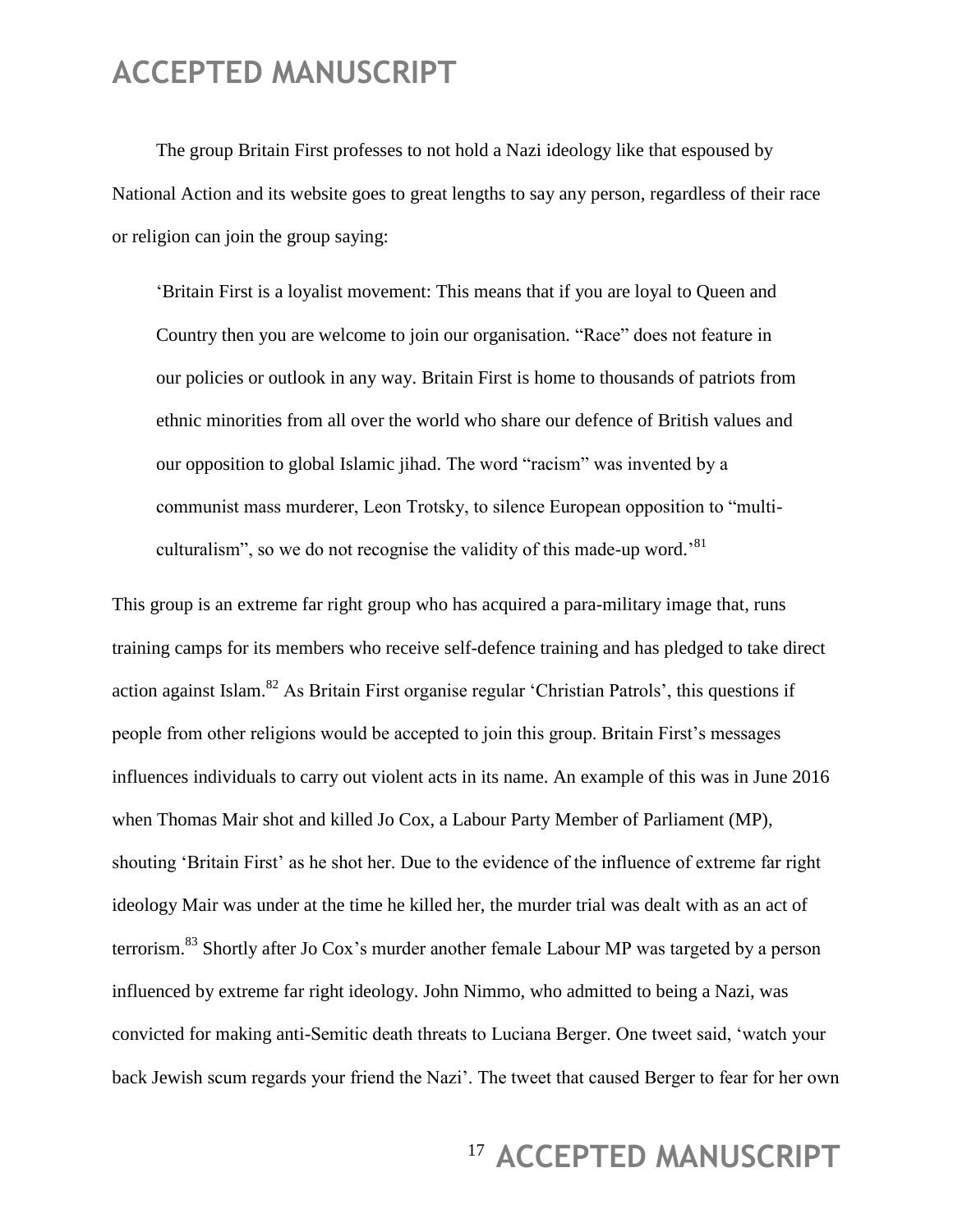The group Britain First professes to not hold a Nazi ideology like that espoused by National Action and its website goes to great lengths to say any person, regardless of their race or religion can join the group saying:

"Britain First is a loyalist movement: This means that if you are loyal to Queen and Country then you are welcome to join our organisation. "Race" does not feature in our policies or outlook in any way. Britain First is home to thousands of patriots from ethnic minorities from all over the world who share our defence of British values and our opposition to global Islamic jihad. The word "racism" was invented by a communist mass murderer, Leon Trotsky, to silence European opposition to "multiculturalism", so we do not recognise the validity of this made-up word.<sup>81</sup>

This group is an extreme far right group who has acquired a para-military image that, runs training camps for its members who receive self-defence training and has pledged to take direct action against Islam.<sup>82</sup> As Britain First organise regular 'Christian Patrols', this questions if people from other religions would be accepted to join this group. Britain First's messages influences individuals to carry out violent acts in its name. An example of this was in June 2016 when Thomas Mair shot and killed Jo Cox, a Labour Party Member of Parliament (MP), shouting "Britain First" as he shot her. Due to the evidence of the influence of extreme far right ideology Mair was under at the time he killed her, the murder trial was dealt with as an act of terrorism.<sup>83</sup> Shortly after Jo Cox's murder another female Labour MP was targeted by a person influenced by extreme far right ideology. John Nimmo, who admitted to being a Nazi, was convicted for making anti-Semitic death threats to Luciana Berger. One tweet said, "watch your back Jewish scum regards your friend the Nazi'. The tweet that caused Berger to fear for her own

### <sup>17</sup> ACCEPTED MANUSCRIPT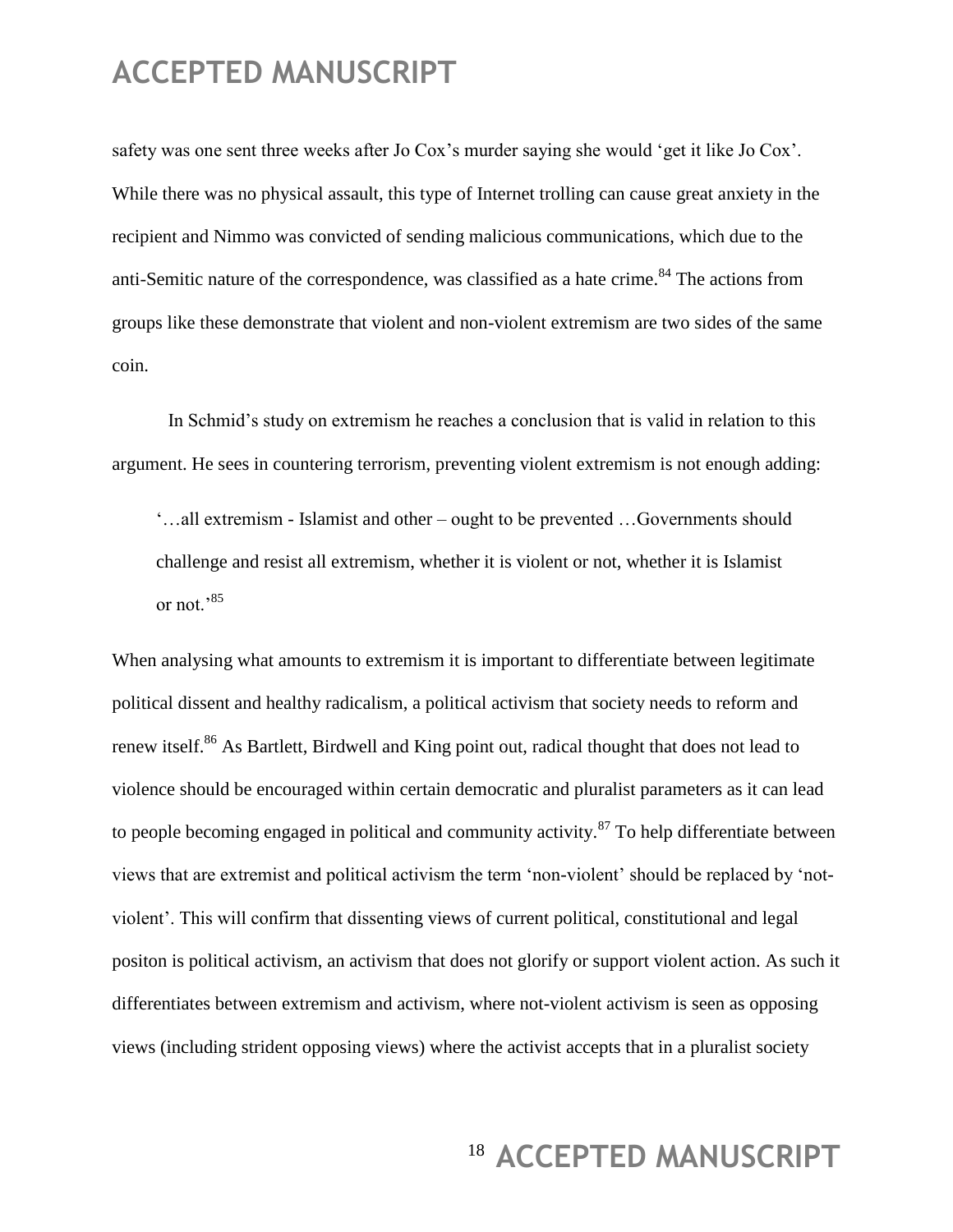safety was one sent three weeks after Jo Cox's murder saying she would 'get it like Jo Cox'. While there was no physical assault, this type of Internet trolling can cause great anxiety in the recipient and Nimmo was convicted of sending malicious communications, which due to the anti-Semitic nature of the correspondence, was classified as a hate crime.<sup>84</sup> The actions from groups like these demonstrate that violent and non-violent extremism are two sides of the same coin.

In Schmid"s study on extremism he reaches a conclusion that is valid in relation to this argument. He sees in countering terrorism, preventing violent extremism is not enough adding:

"…all extremism - Islamist and other – ought to be prevented …Governments should challenge and resist all extremism, whether it is violent or not, whether it is Islamist or not.'85

When analysing what amounts to extremism it is important to differentiate between legitimate political dissent and healthy radicalism, a political activism that society needs to reform and renew itself.<sup>86</sup> As Bartlett, Birdwell and King point out, radical thought that does not lead to violence should be encouraged within certain democratic and pluralist parameters as it can lead to people becoming engaged in political and community activity.<sup>87</sup> To help differentiate between views that are extremist and political activism the term "non-violent" should be replaced by "notviolent". This will confirm that dissenting views of current political, constitutional and legal positon is political activism, an activism that does not glorify or support violent action. As such it differentiates between extremism and activism, where not-violent activism is seen as opposing views (including strident opposing views) where the activist accepts that in a pluralist society

### <sup>18</sup> ACCEPTED MANUSCRIPT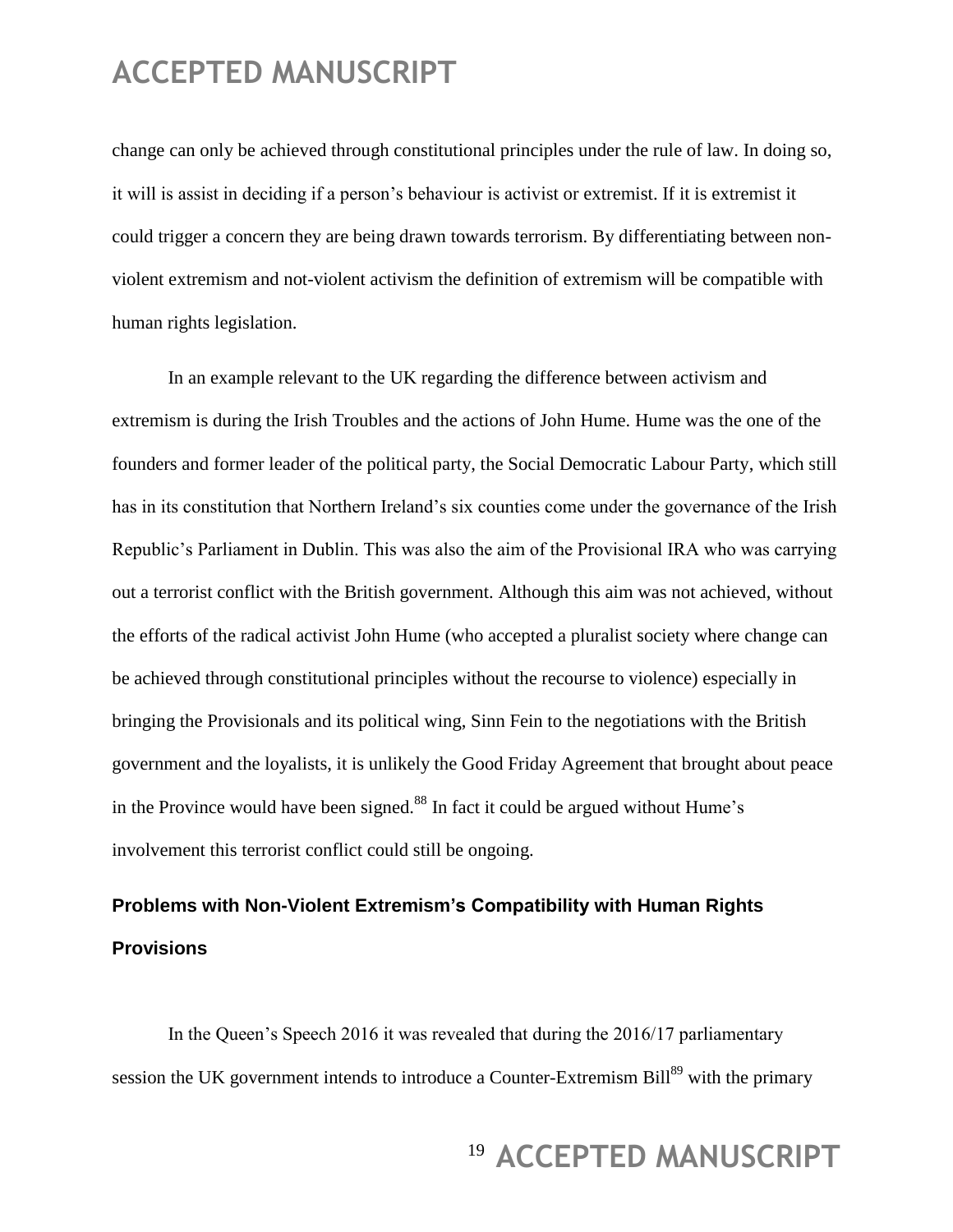change can only be achieved through constitutional principles under the rule of law. In doing so, it will is assist in deciding if a person"s behaviour is activist or extremist. If it is extremist it could trigger a concern they are being drawn towards terrorism. By differentiating between nonviolent extremism and not-violent activism the definition of extremism will be compatible with human rights legislation.

In an example relevant to the UK regarding the difference between activism and extremism is during the Irish Troubles and the actions of John Hume. Hume was the one of the founders and former leader of the political party, the Social Democratic Labour Party, which still has in its constitution that Northern Ireland's six counties come under the governance of the Irish Republic"s Parliament in Dublin. This was also the aim of the Provisional IRA who was carrying out a terrorist conflict with the British government. Although this aim was not achieved, without the efforts of the radical activist John Hume (who accepted a pluralist society where change can be achieved through constitutional principles without the recourse to violence) especially in bringing the Provisionals and its political wing, Sinn Fein to the negotiations with the British government and the loyalists, it is unlikely the Good Friday Agreement that brought about peace in the Province would have been signed.<sup>88</sup> In fact it could be argued without Hume's involvement this terrorist conflict could still be ongoing.

#### **Problems with Non-Violent Extremism's Compatibility with Human Rights Provisions**

In the Queen"s Speech 2016 it was revealed that during the 2016/17 parliamentary session the UK government intends to introduce a Counter-Extremism Bill<sup>89</sup> with the primary

# <sup>19</sup> ACCEPTED MANUSCRIPT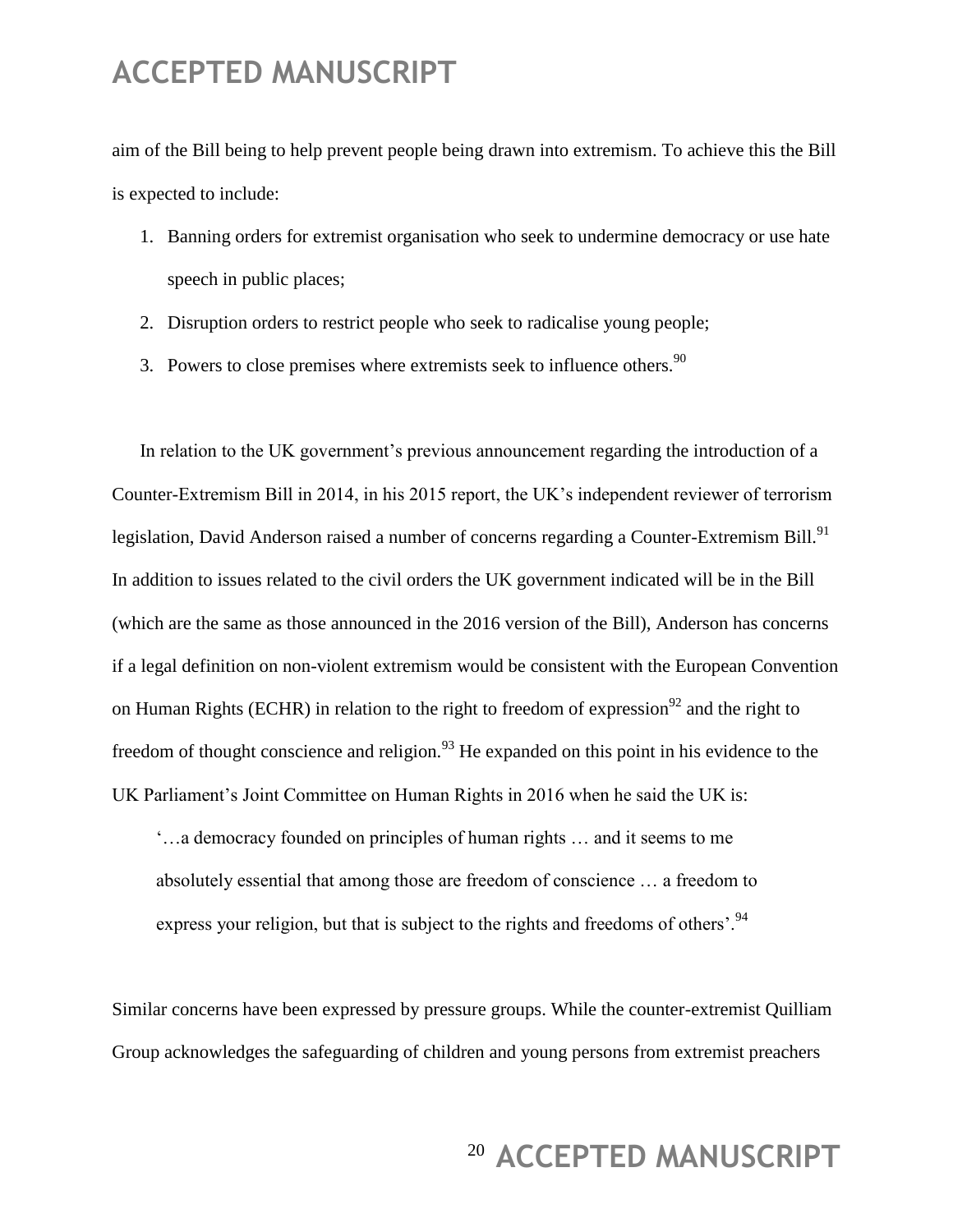aim of the Bill being to help prevent people being drawn into extremism. To achieve this the Bill is expected to include:

- 1. Banning orders for extremist organisation who seek to undermine democracy or use hate speech in public places;
- 2. Disruption orders to restrict people who seek to radicalise young people;
- 3. Powers to close premises where extremists seek to influence others.  $\frac{90}{90}$

In relation to the UK government's previous announcement regarding the introduction of a Counter-Extremism Bill in 2014, in his 2015 report, the UK"s independent reviewer of terrorism legislation, David Anderson raised a number of concerns regarding a Counter-Extremism Bill.<sup>91</sup> In addition to issues related to the civil orders the UK government indicated will be in the Bill (which are the same as those announced in the 2016 version of the Bill), Anderson has concerns if a legal definition on non-violent extremism would be consistent with the European Convention on Human Rights (ECHR) in relation to the right to freedom of expression<sup>92</sup> and the right to freedom of thought conscience and religion.<sup>93</sup> He expanded on this point in his evidence to the UK Parliament's Joint Committee on Human Rights in 2016 when he said the UK is:

"…a democracy founded on principles of human rights … and it seems to me absolutely essential that among those are freedom of conscience … a freedom to express your religion, but that is subject to the rights and freedoms of others'.<sup>94</sup>

Similar concerns have been expressed by pressure groups. While the counter-extremist Quilliam Group acknowledges the safeguarding of children and young persons from extremist preachers

# <sup>20</sup> ACCEPTED MANUSCRIPT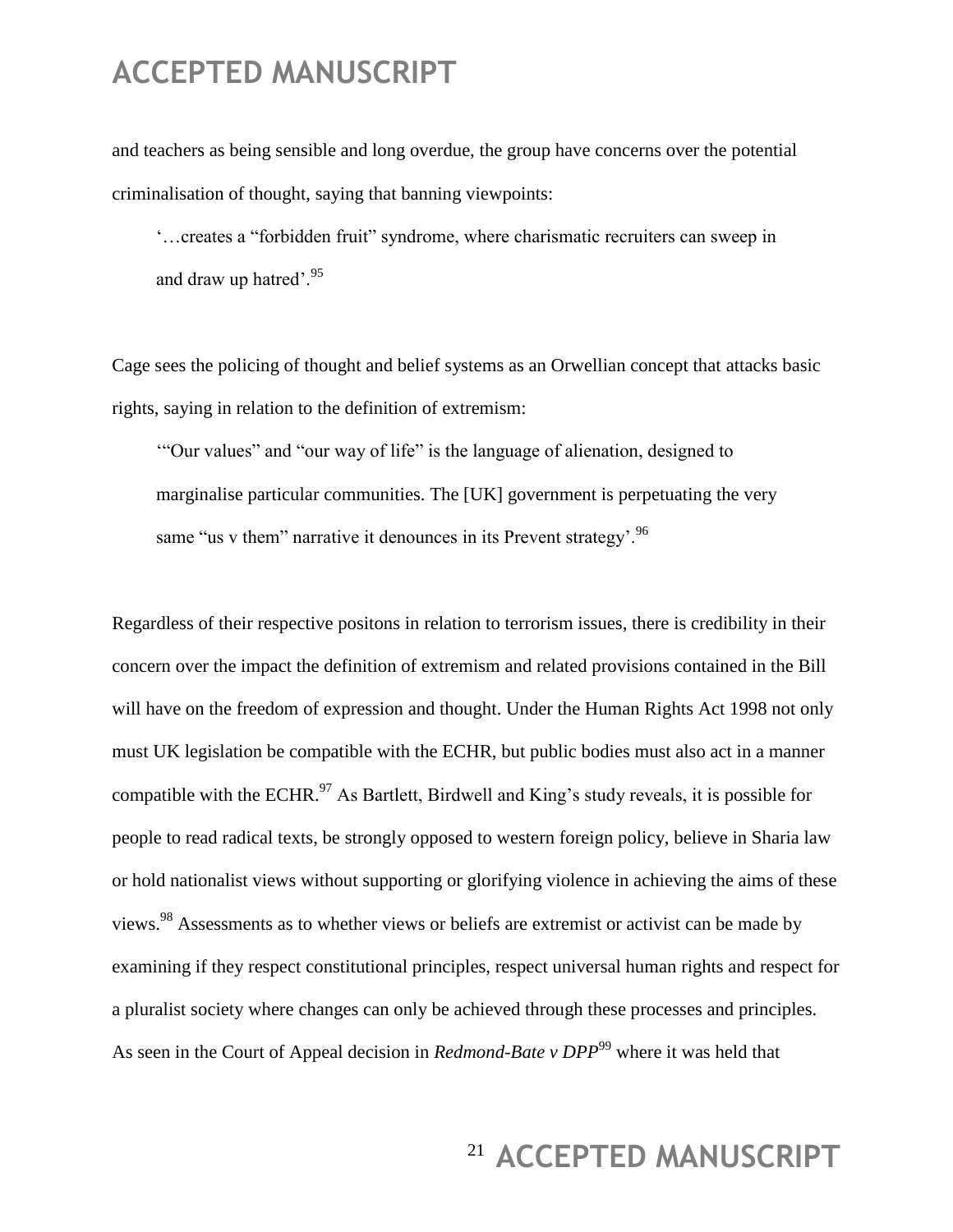and teachers as being sensible and long overdue, the group have concerns over the potential criminalisation of thought, saying that banning viewpoints:

"…creates a "forbidden fruit" syndrome, where charismatic recruiters can sweep in and draw up hatred'. $95$ 

Cage sees the policing of thought and belief systems as an Orwellian concept that attacks basic rights, saying in relation to the definition of extremism:

""Our values" and "our way of life" is the language of alienation, designed to marginalise particular communities. The [UK] government is perpetuating the very same "us v them" narrative it denounces in its Prevent strategy'.<sup>96</sup>

Regardless of their respective positons in relation to terrorism issues, there is credibility in their concern over the impact the definition of extremism and related provisions contained in the Bill will have on the freedom of expression and thought. Under the Human Rights Act 1998 not only must UK legislation be compatible with the ECHR, but public bodies must also act in a manner compatible with the ECHR. $97$  As Bartlett, Birdwell and King's study reveals, it is possible for people to read radical texts, be strongly opposed to western foreign policy, believe in Sharia law or hold nationalist views without supporting or glorifying violence in achieving the aims of these views.<sup>98</sup> Assessments as to whether views or beliefs are extremist or activist can be made by examining if they respect constitutional principles, respect universal human rights and respect for a pluralist society where changes can only be achieved through these processes and principles. As seen in the Court of Appeal decision in *Redmond-Bate v DPP*<sup>99</sup> where it was held that

### <sup>21</sup> ACCEPTED MANUSCRIPT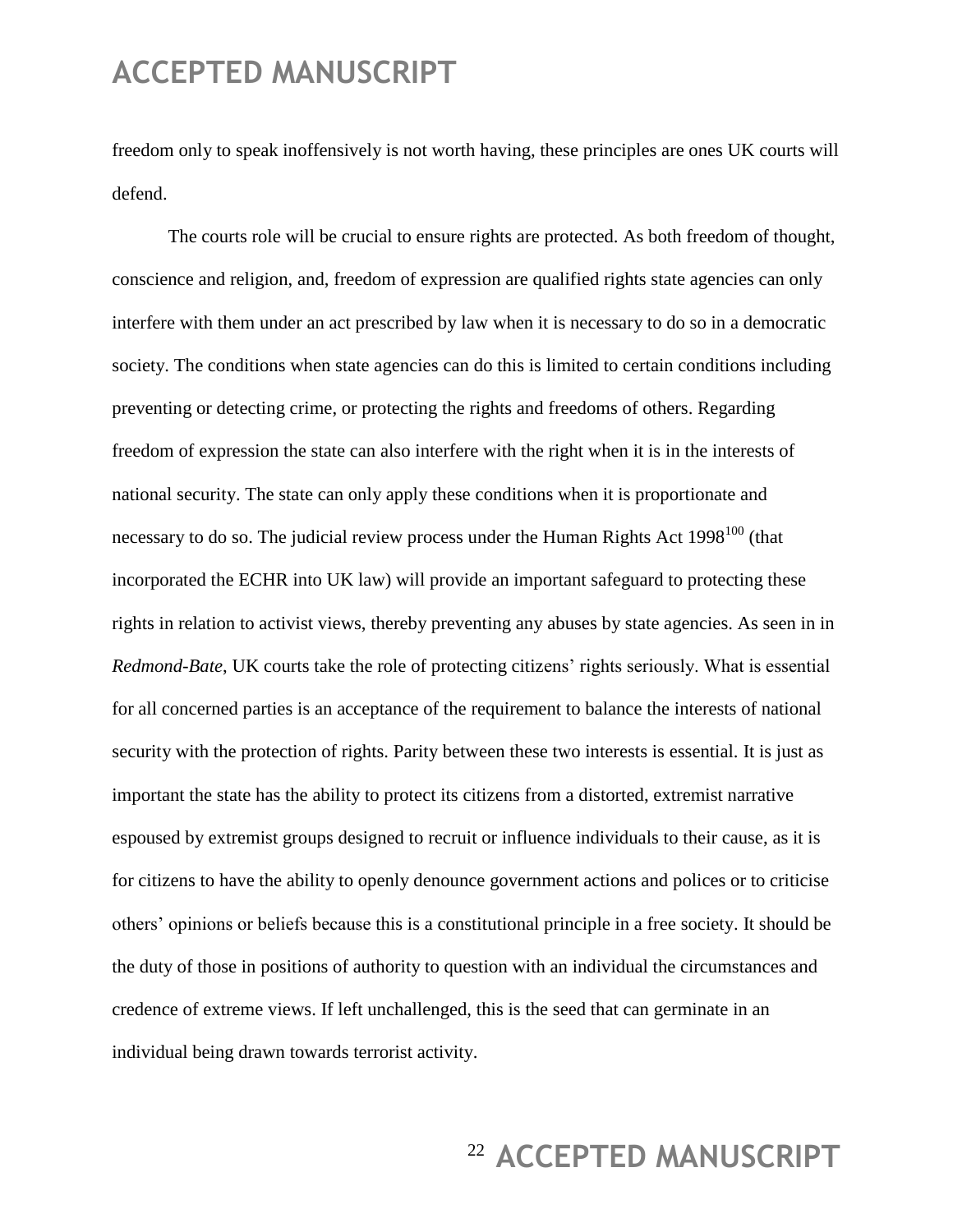freedom only to speak inoffensively is not worth having, these principles are ones UK courts will defend.

The courts role will be crucial to ensure rights are protected. As both freedom of thought, conscience and religion, and, freedom of expression are qualified rights state agencies can only interfere with them under an act prescribed by law when it is necessary to do so in a democratic society. The conditions when state agencies can do this is limited to certain conditions including preventing or detecting crime, or protecting the rights and freedoms of others. Regarding freedom of expression the state can also interfere with the right when it is in the interests of national security. The state can only apply these conditions when it is proportionate and necessary to do so. The judicial review process under the Human Rights Act  $1998^{100}$  (that incorporated the ECHR into UK law) will provide an important safeguard to protecting these rights in relation to activist views, thereby preventing any abuses by state agencies. As seen in in *Redmond-Bate*, UK courts take the role of protecting citizens" rights seriously. What is essential for all concerned parties is an acceptance of the requirement to balance the interests of national security with the protection of rights. Parity between these two interests is essential. It is just as important the state has the ability to protect its citizens from a distorted, extremist narrative espoused by extremist groups designed to recruit or influence individuals to their cause, as it is for citizens to have the ability to openly denounce government actions and polices or to criticise others" opinions or beliefs because this is a constitutional principle in a free society. It should be the duty of those in positions of authority to question with an individual the circumstances and credence of extreme views. If left unchallenged, this is the seed that can germinate in an individual being drawn towards terrorist activity.

# <sup>22</sup> ACCEPTED MANUSCRIPT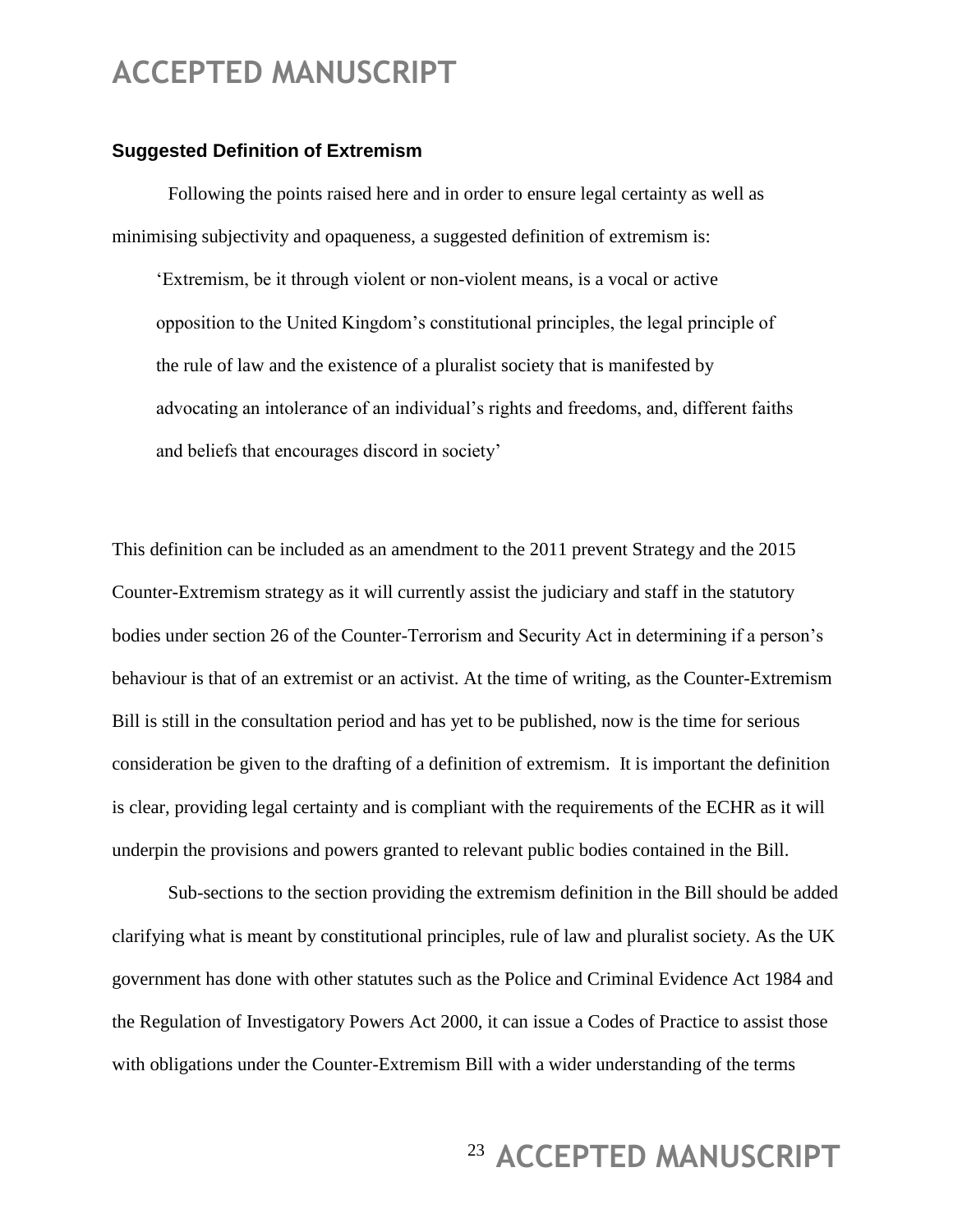#### **Suggested Definition of Extremism**

Following the points raised here and in order to ensure legal certainty as well as minimising subjectivity and opaqueness, a suggested definition of extremism is:

"Extremism, be it through violent or non-violent means, is a vocal or active opposition to the United Kingdom"s constitutional principles, the legal principle of the rule of law and the existence of a pluralist society that is manifested by advocating an intolerance of an individual"s rights and freedoms, and, different faiths and beliefs that encourages discord in society'

This definition can be included as an amendment to the 2011 prevent Strategy and the 2015 Counter-Extremism strategy as it will currently assist the judiciary and staff in the statutory bodies under section 26 of the Counter-Terrorism and Security Act in determining if a person"s behaviour is that of an extremist or an activist. At the time of writing, as the Counter-Extremism Bill is still in the consultation period and has yet to be published, now is the time for serious consideration be given to the drafting of a definition of extremism. It is important the definition is clear, providing legal certainty and is compliant with the requirements of the ECHR as it will underpin the provisions and powers granted to relevant public bodies contained in the Bill.

Sub-sections to the section providing the extremism definition in the Bill should be added clarifying what is meant by constitutional principles, rule of law and pluralist society. As the UK government has done with other statutes such as the Police and Criminal Evidence Act 1984 and the Regulation of Investigatory Powers Act 2000, it can issue a Codes of Practice to assist those with obligations under the Counter-Extremism Bill with a wider understanding of the terms

### <sup>23</sup> ACCEPTED MANUSCRIPT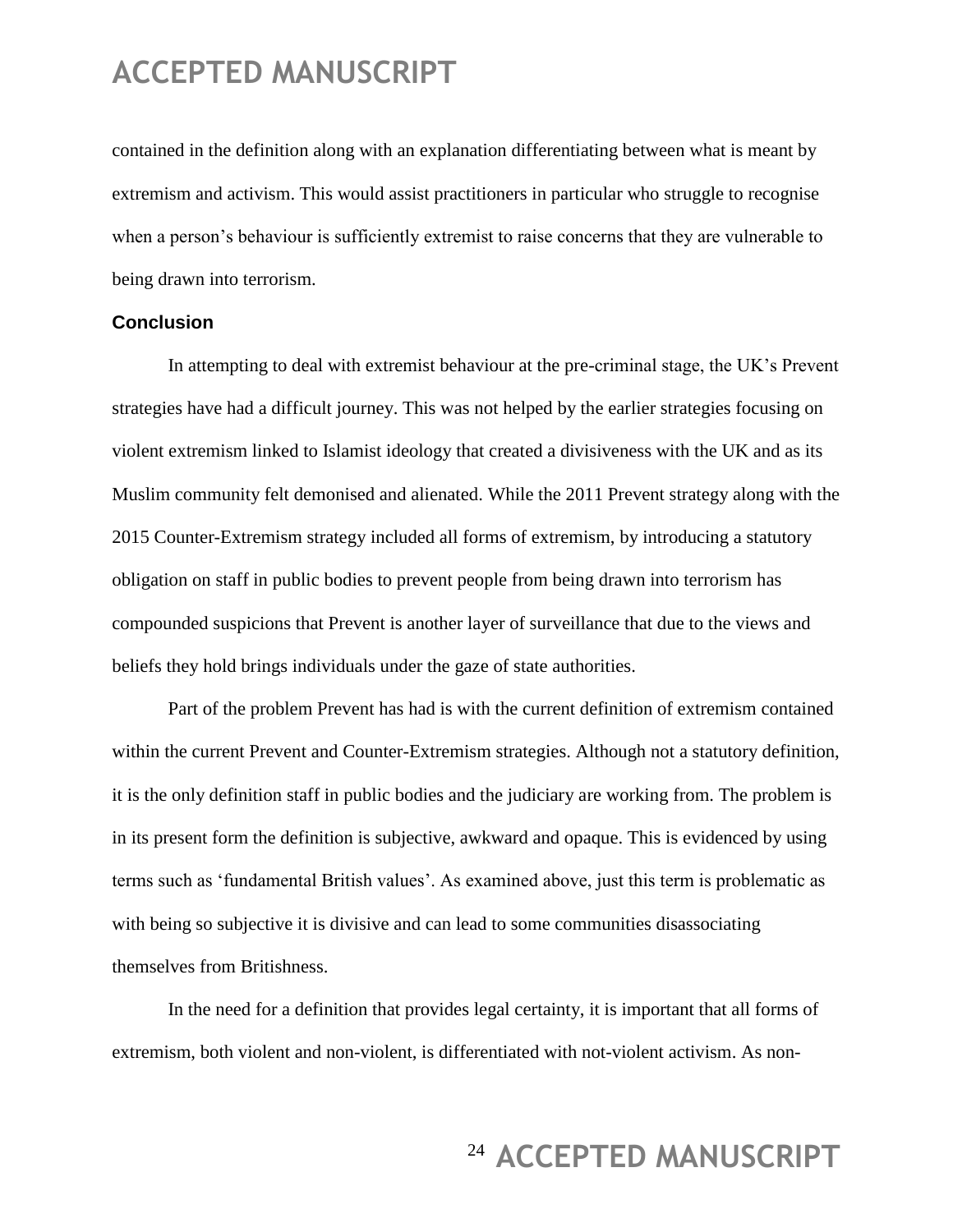contained in the definition along with an explanation differentiating between what is meant by extremism and activism. This would assist practitioners in particular who struggle to recognise when a person's behaviour is sufficiently extremist to raise concerns that they are vulnerable to being drawn into terrorism.

#### **Conclusion**

In attempting to deal with extremist behaviour at the pre-criminal stage, the UK"s Prevent strategies have had a difficult journey. This was not helped by the earlier strategies focusing on violent extremism linked to Islamist ideology that created a divisiveness with the UK and as its Muslim community felt demonised and alienated. While the 2011 Prevent strategy along with the 2015 Counter-Extremism strategy included all forms of extremism, by introducing a statutory obligation on staff in public bodies to prevent people from being drawn into terrorism has compounded suspicions that Prevent is another layer of surveillance that due to the views and beliefs they hold brings individuals under the gaze of state authorities.

Part of the problem Prevent has had is with the current definition of extremism contained within the current Prevent and Counter-Extremism strategies. Although not a statutory definition, it is the only definition staff in public bodies and the judiciary are working from. The problem is in its present form the definition is subjective, awkward and opaque. This is evidenced by using terms such as "fundamental British values". As examined above, just this term is problematic as with being so subjective it is divisive and can lead to some communities disassociating themselves from Britishness.

In the need for a definition that provides legal certainty, it is important that all forms of extremism, both violent and non-violent, is differentiated with not-violent activism. As non-

# <sup>24</sup> ACCEPTED MANUSCRIPT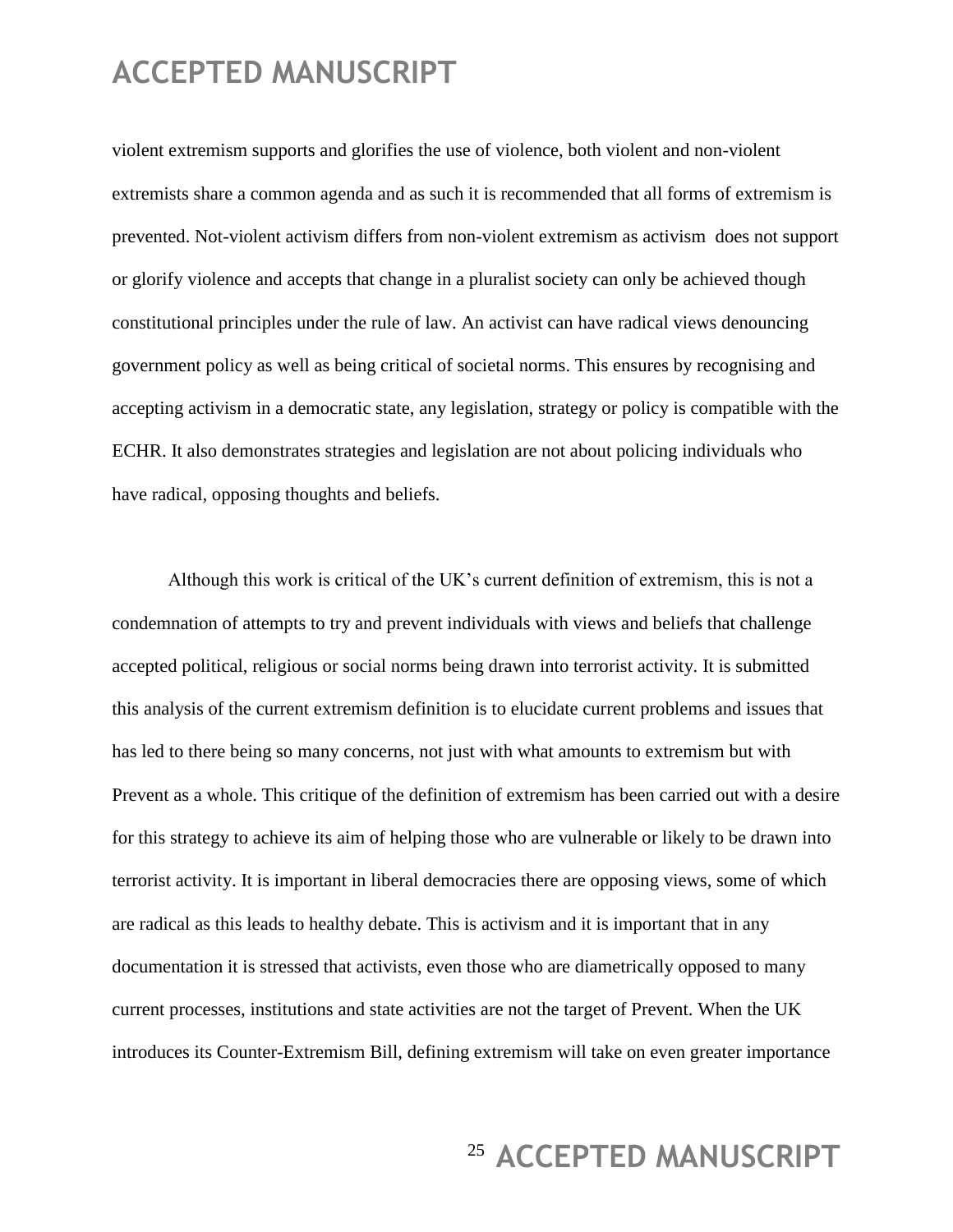violent extremism supports and glorifies the use of violence, both violent and non-violent extremists share a common agenda and as such it is recommended that all forms of extremism is prevented. Not-violent activism differs from non-violent extremism as activism does not support or glorify violence and accepts that change in a pluralist society can only be achieved though constitutional principles under the rule of law. An activist can have radical views denouncing government policy as well as being critical of societal norms. This ensures by recognising and accepting activism in a democratic state, any legislation, strategy or policy is compatible with the ECHR. It also demonstrates strategies and legislation are not about policing individuals who have radical, opposing thoughts and beliefs.

Although this work is critical of the UK"s current definition of extremism, this is not a condemnation of attempts to try and prevent individuals with views and beliefs that challenge accepted political, religious or social norms being drawn into terrorist activity. It is submitted this analysis of the current extremism definition is to elucidate current problems and issues that has led to there being so many concerns, not just with what amounts to extremism but with Prevent as a whole. This critique of the definition of extremism has been carried out with a desire for this strategy to achieve its aim of helping those who are vulnerable or likely to be drawn into terrorist activity. It is important in liberal democracies there are opposing views, some of which are radical as this leads to healthy debate. This is activism and it is important that in any documentation it is stressed that activists, even those who are diametrically opposed to many current processes, institutions and state activities are not the target of Prevent. When the UK introduces its Counter-Extremism Bill, defining extremism will take on even greater importance

# <sup>25</sup> ACCEPTED MANUSCRIPT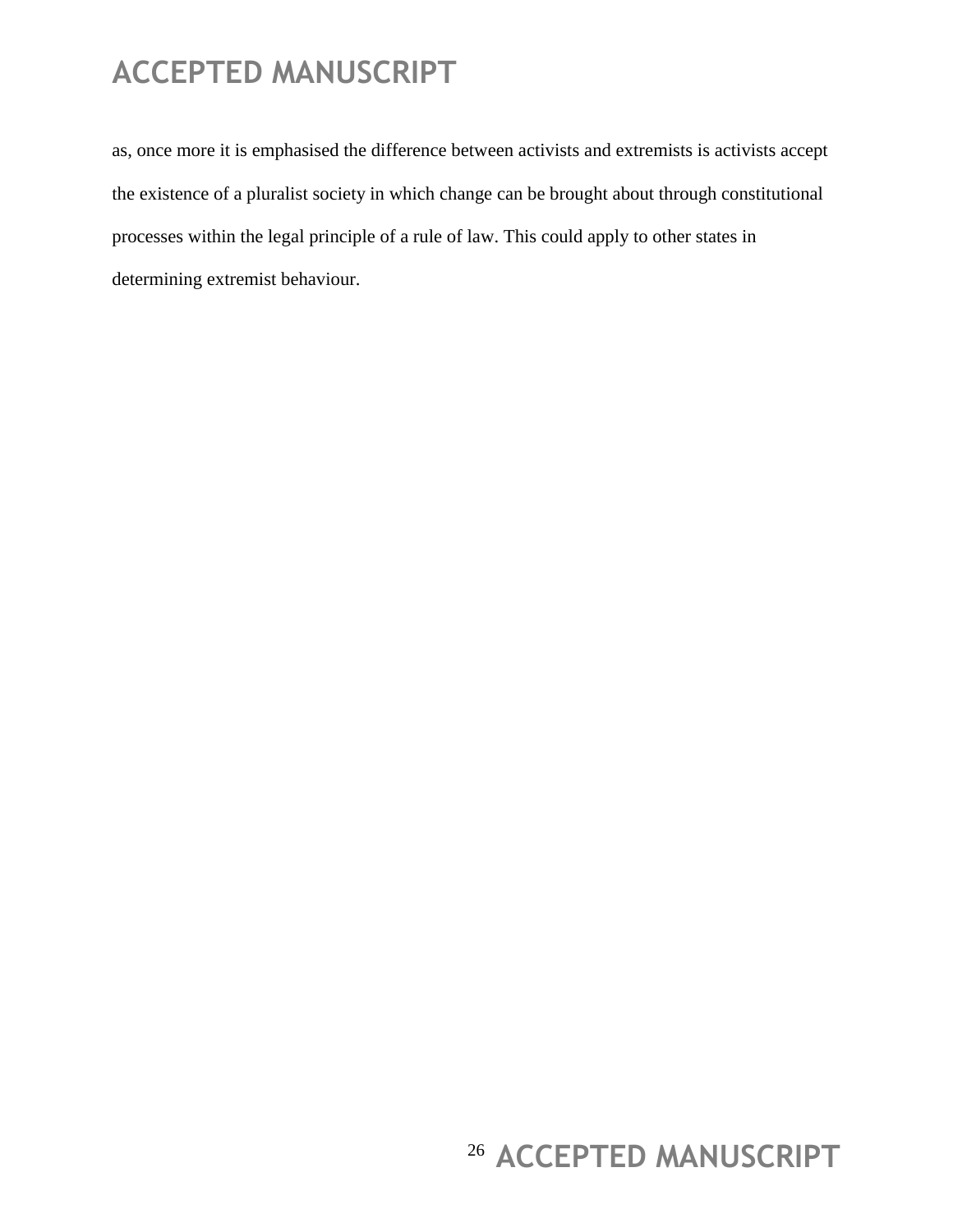as, once more it is emphasised the difference between activists and extremists is activists accept the existence of a pluralist society in which change can be brought about through constitutional processes within the legal principle of a rule of law. This could apply to other states in determining extremist behaviour.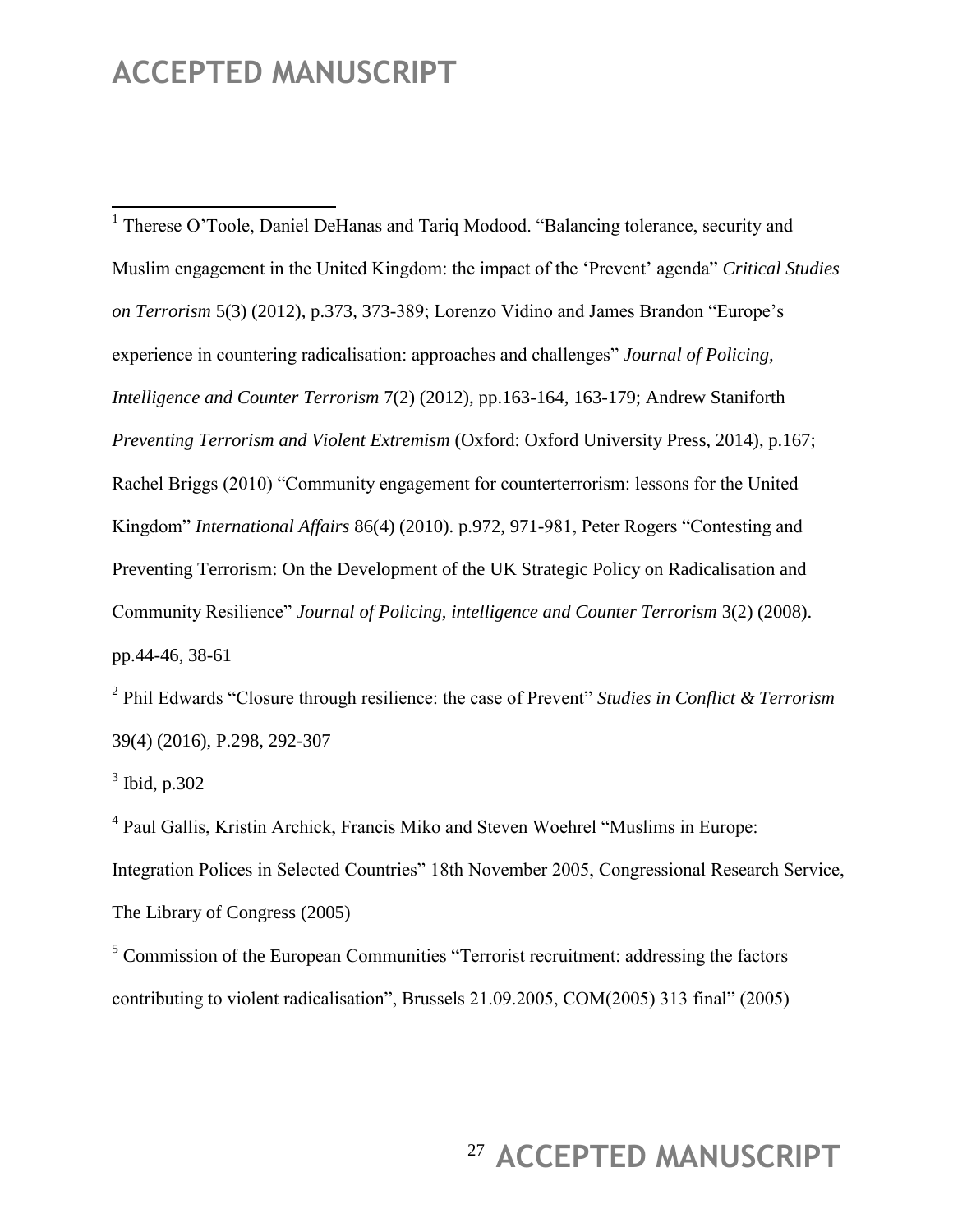<sup>1</sup> Therese O'Toole, Daniel DeHanas and Tariq Modood. "Balancing tolerance, security and Muslim engagement in the United Kingdom: the impact of the "Prevent" agenda" *Critical Studies on Terrorism* 5(3) (2012), p.373, 373-389; Lorenzo Vidino and James Brandon "Europe"s experience in countering radicalisation: approaches and challenges" *Journal of Policing, Intelligence and Counter Terrorism* 7(2) (2012), pp.163-164, 163-179; Andrew Staniforth *Preventing Terrorism and Violent Extremism* (Oxford: Oxford University Press, 2014), p.167; Rachel Briggs (2010) "Community engagement for counterterrorism: lessons for the United Kingdom" *International Affairs* 86(4) (2010). p.972, 971-981, Peter Rogers "Contesting and Preventing Terrorism: On the Development of the UK Strategic Policy on Radicalisation and Community Resilience" *Journal of Policing, intelligence and Counter Terrorism* 3(2) (2008). pp.44-46, 38-61

2 Phil Edwards "Closure through resilience: the case of Prevent" *Studies in Conflict & Terrorism* 39(4) (2016), P.298, 292-307

3 Ibid, p.302

<sup>4</sup> Paul Gallis, Kristin Archick, Francis Miko and Steven Woehrel "Muslims in Europe: Integration Polices in Selected Countries" 18th November 2005, Congressional Research Service, The Library of Congress (2005)

<sup>5</sup> Commission of the European Communities "Terrorist recruitment: addressing the factors contributing to violent radicalisation", Brussels 21.09.2005, COM(2005) 313 final" (2005)

# <sup>27</sup> ACCEPTED MANUSCRIPT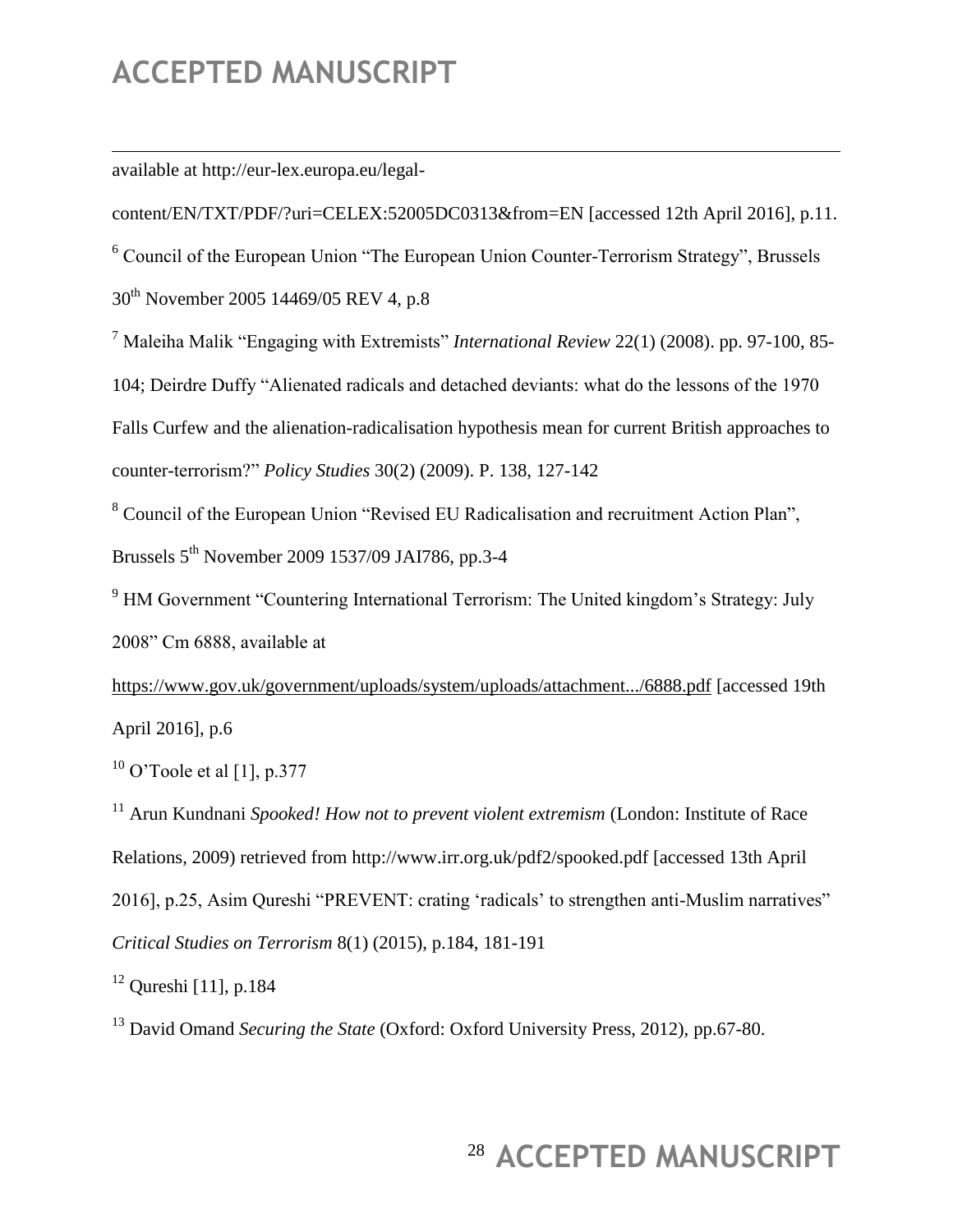available at http://eur-lex.europa.eu/legal-

 $\overline{a}$ 

content/EN/TXT/PDF/?uri=CELEX:52005DC0313&from=EN [accessed 12th April 2016], p.11.

<sup>6</sup> Council of the European Union "The European Union Counter-Terrorism Strategy", Brussels

30th November 2005 14469/05 REV 4, p.8

<sup>7</sup> Maleiha Malik "Engaging with Extremists" *International Review* 22(1) (2008). pp. 97-100, 85- 104; Deirdre Duffy "Alienated radicals and detached deviants: what do the lessons of the 1970 Falls Curfew and the alienation-radicalisation hypothesis mean for current British approaches to counter-terrorism?" *Policy Studies* 30(2) (2009). P. 138, 127-142

<sup>8</sup> Council of the European Union "Revised EU Radicalisation and recruitment Action Plan", Brussels 5th November 2009 1537/09 JAI786, pp.3-4

<sup>9</sup> HM Government "Countering International Terrorism: The United kingdom"s Strategy: July 2008" Cm 6888, available at

<https://www.gov.uk/government/uploads/system/uploads/attachment.../6888.pdf> [accessed 19th April 2016], p.6

 $10$  O'Toole et al [1], p.377

<sup>11</sup> Arun Kundnani *Spooked! How not to prevent violent extremism* (London: Institute of Race Relations, 2009) retrieved from http://www.irr.org.uk/pdf2/spooked.pdf [accessed 13th April 2016], p.25, Asim Qureshi "PREVENT: crating "radicals" to strengthen anti-Muslim narratives" *Critical Studies on Terrorism* 8(1) (2015), p.184, 181-191

 $12$  Oureshi [11], p.184

<sup>13</sup> David Omand *Securing the State* (Oxford: Oxford University Press, 2012), pp.67-80.

# <sup>28</sup> ACCEPTED MANUSCRIPT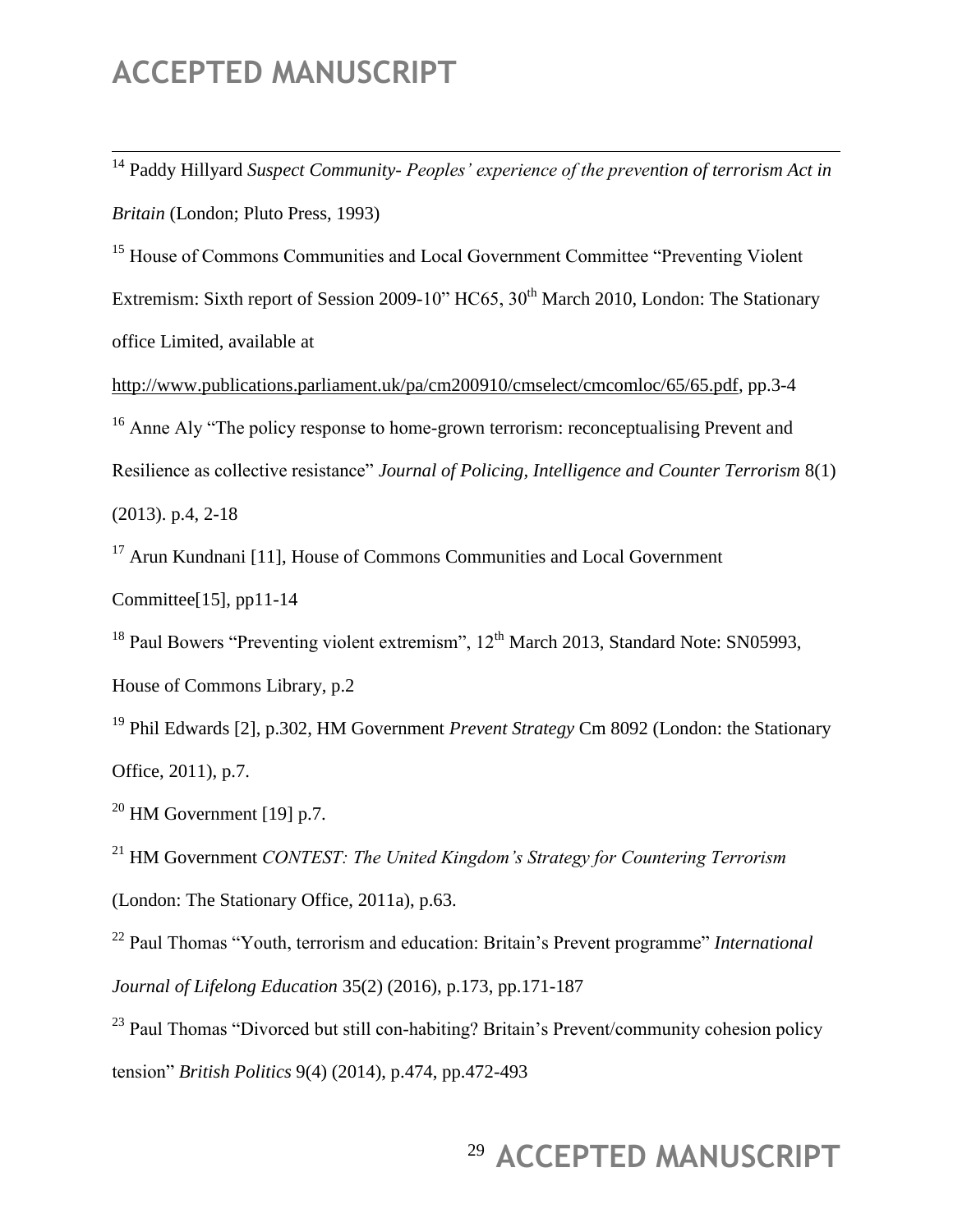<sup>14</sup> Paddy Hillyard *Suspect Community- Peoples' experience of the prevention of terrorism Act in Britain* (London; Pluto Press, 1993)

<sup>15</sup> House of Commons Communities and Local Government Committee "Preventing Violent" Extremism: Sixth report of Session 2009-10" HC65, 30<sup>th</sup> March 2010, London: The Stationary office Limited, available at

[http://www.publications.parliament.uk/pa/cm200910/cmselect/cmcomloc/65/65.pdf,](http://www.publications.parliament.uk/pa/cm200910/cmselect/cmcomloc/65/65.pdf) pp.3-4

<sup>16</sup> Anne Aly "The policy response to home-grown terrorism: reconceptualising Prevent and

Resilience as collective resistance" *Journal of Policing, Intelligence and Counter Terrorism* 8(1)

(2013). p.4, 2-18

 $\overline{a}$ 

<sup>17</sup> Arun Kundnani [11], House of Commons Communities and Local Government Committee[15], pp11-14

<sup>18</sup> Paul Bowers "Preventing violent extremism",  $12<sup>th</sup>$  March 2013, Standard Note: SN05993,

House of Commons Library, p.2

<sup>19</sup> Phil Edwards [2], p.302, HM Government *Prevent Strategy* Cm 8092 (London: the Stationary Office, 2011), p.7.

 $20$  HM Government [19] p.7.

<sup>21</sup> HM Government *CONTEST: The United Kingdom's Strategy for Countering Terrorism*  (London: The Stationary Office, 2011a), p.63.

<sup>22</sup> Paul Thomas "Youth, terrorism and education: Britain"s Prevent programme" *International Journal of Lifelong Education* 35(2) (2016), p.173, pp.171-187

 $^{23}$  Paul Thomas "Divorced but still con-habiting? Britain's Prevent/community cohesion policy tension" *British Politics* 9(4) (2014), p.474, pp.472-493

### <sup>29</sup> ACCEPTED MANUSCRIPT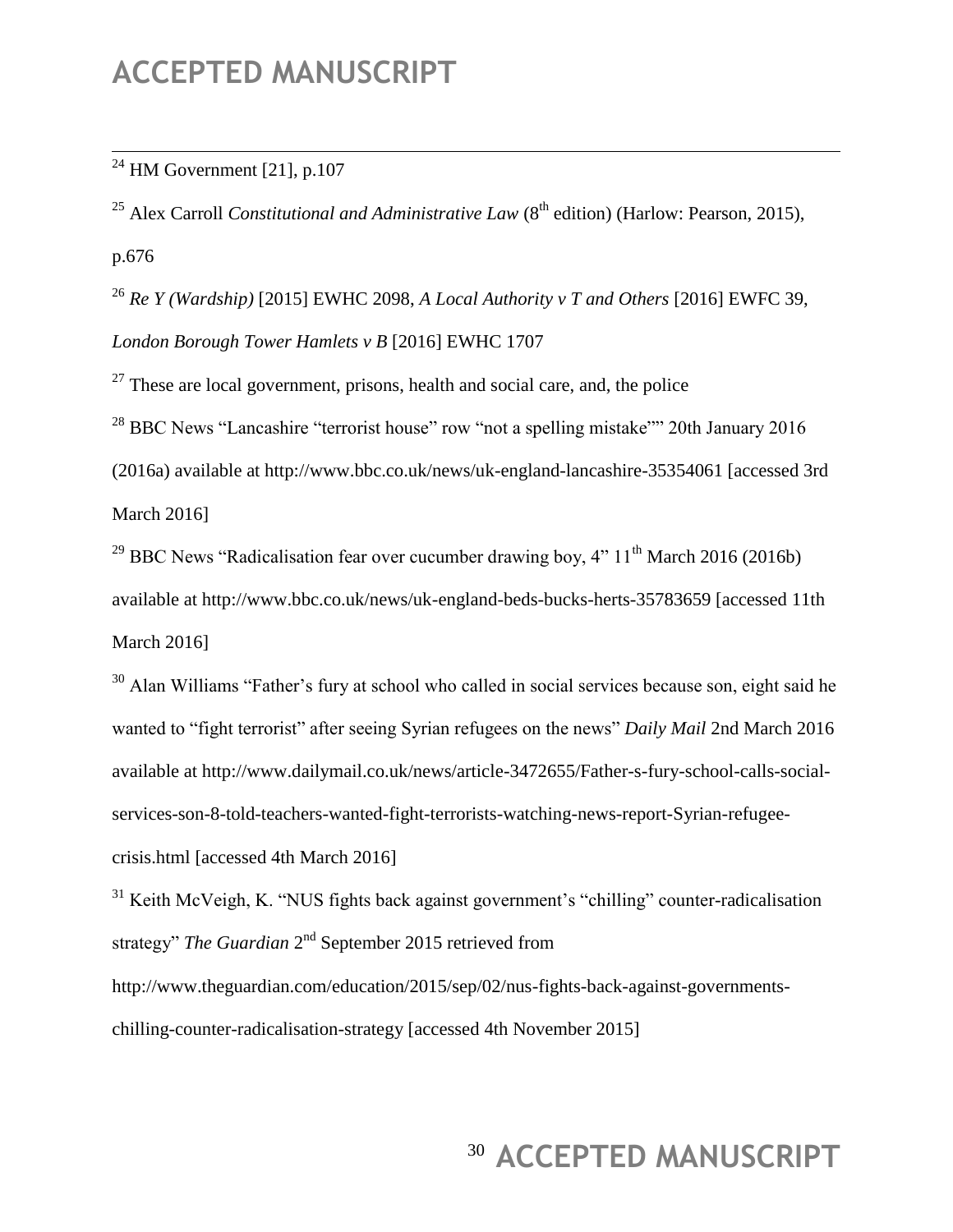$24$  HM Government [21], p.107

 $\overline{a}$ 

<sup>25</sup> Alex Carroll *Constitutional and Administrative Law* (8<sup>th</sup> edition) (Harlow: Pearson, 2015), p.676

<sup>26</sup> *Re Y (Wardship)* [2015] EWHC 2098, *A Local Authority v T and Others* [2016] EWFC 39, *London Borough Tower Hamlets v B* [2016] EWHC 1707

 $27$  These are local government, prisons, health and social care, and, the police

<sup>28</sup> BBC News "Lancashire "terrorist house" row "not a spelling mistake"" 20th January 2016

(2016a) available at http://www.bbc.co.uk/news/uk-england-lancashire-35354061 [accessed 3rd March 2016]

<sup>29</sup> BBC News "Radicalisation fear over cucumber drawing boy,  $4$ "  $11<sup>th</sup>$  March 2016 (2016b) available at http://www.bbc.co.uk/news/uk-england-beds-bucks-herts-35783659 [accessed 11th March 2016]

<sup>30</sup> Alan Williams "Father's fury at school who called in social services because son, eight said he wanted to "fight terrorist" after seeing Syrian refugees on the news" *Daily Mail* 2nd March 2016 available at http://www.dailymail.co.uk/news/article-3472655/Father-s-fury-school-calls-socialservices-son-8-told-teachers-wanted-fight-terrorists-watching-news-report-Syrian-refugeecrisis.html [accessed 4th March 2016]

 $31$  Keith McVeigh, K. "NUS fights back against government's "chilling" counter-radicalisation strategy" *The Guardian* 2<sup>nd</sup> September 2015 retrieved from

http://www.theguardian.com/education/2015/sep/02/nus-fights-back-against-governmentschilling-counter-radicalisation-strategy [accessed 4th November 2015]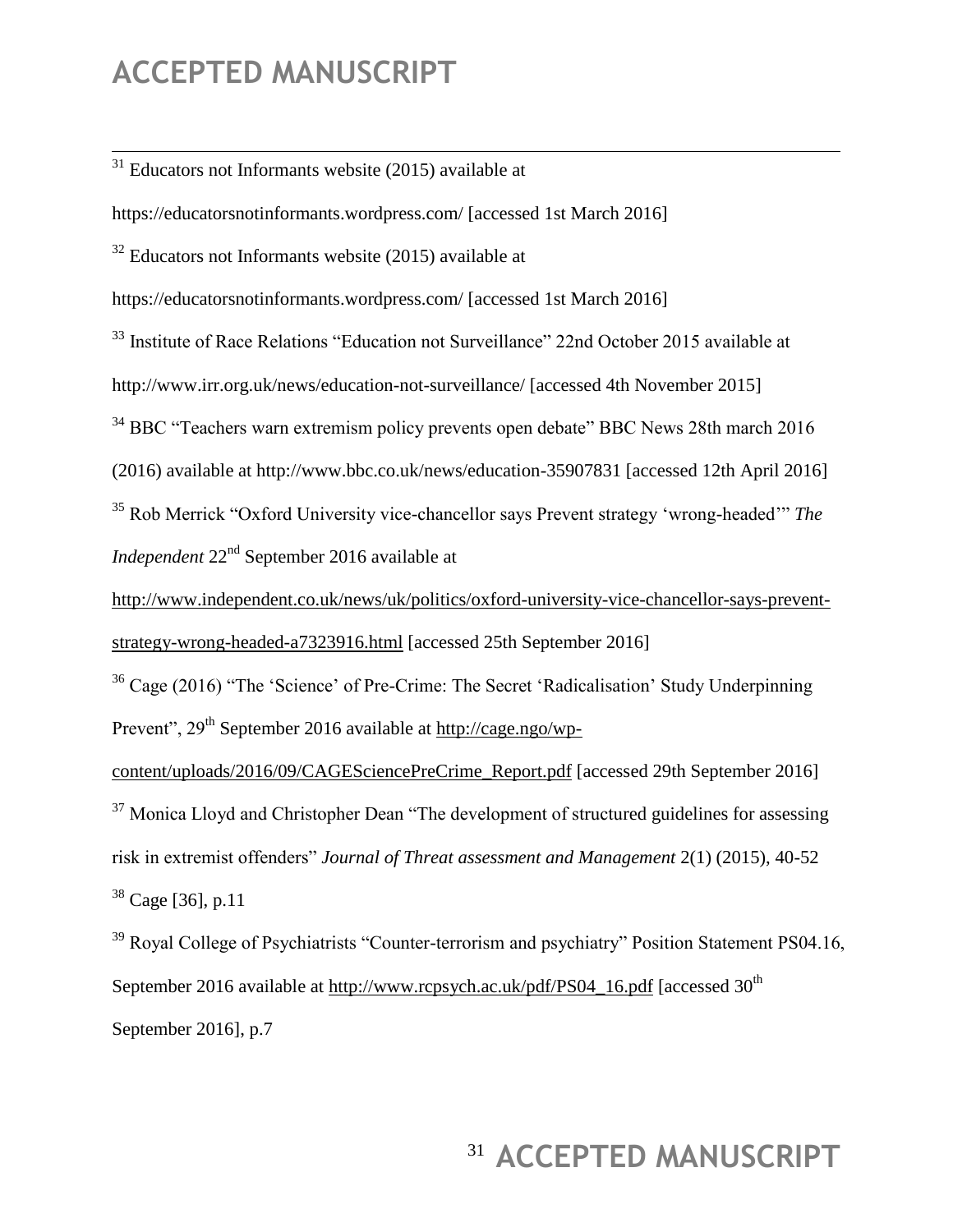$\overline{a}$ 

 $31$  Educators not Informants website (2015) available at

https://educatorsnotinformants.wordpress.com/ [accessed 1st March 2016]

 $32$  Educators not Informants website (2015) available at

https://educatorsnotinformants.wordpress.com/ [accessed 1st March 2016]

<sup>33</sup> Institute of Race Relations "Education not Surveillance" 22nd October 2015 available at

http://www.irr.org.uk/news/education-not-surveillance/ [accessed 4th November 2015]

<sup>34</sup> BBC "Teachers warn extremism policy prevents open debate" BBC News 28th march 2016

(2016) available at http://www.bbc.co.uk/news/education-35907831 [accessed 12th April 2016]

<sup>35</sup> Rob Merrick "Oxford University vice-chancellor says Prevent strategy "wrong-headed"" *The Independent* 22nd September 2016 available at

[http://www.independent.co.uk/news/uk/politics/oxford-university-vice-chancellor-says-prevent](http://www.independent.co.uk/news/uk/politics/oxford-university-vice-chancellor-says-prevent-strategy-wrong-headed-a7323916.html)[strategy-wrong-headed-a7323916.html](http://www.independent.co.uk/news/uk/politics/oxford-university-vice-chancellor-says-prevent-strategy-wrong-headed-a7323916.html) [accessed 25th September 2016]

<sup>36</sup> Cage (2016) "The 'Science' of Pre-Crime: The Secret 'Radicalisation' Study Underpinning Prevent", 29th September 2016 available at [http://cage.ngo/wp-](http://cage.ngo/wp-content/uploads/2016/09/CAGESciencePreCrime_Report.pdf)

[content/uploads/2016/09/CAGESciencePreCrime\\_Report.pdf](http://cage.ngo/wp-content/uploads/2016/09/CAGESciencePreCrime_Report.pdf) [accessed 29th September 2016]

 $37$  Monica Lloyd and Christopher Dean "The development of structured guidelines for assessing risk in extremist offenders" *Journal of Threat assessment and Management* 2(1) (2015), 40-52 <sup>38</sup> Cage [36], p.11

<sup>39</sup> Royal College of Psychiatrists "Counter-terrorism and psychiatry" Position Statement PS04.16, September 2016 available at [http://www.rcpsych.ac.uk/pdf/PS04\\_16.pdf](http://www.rcpsych.ac.uk/pdf/PS04_16.pdf) [accessed 30<sup>th</sup>] September 2016], p.7

# <sup>31</sup> ACCEPTED MANUSCRIPT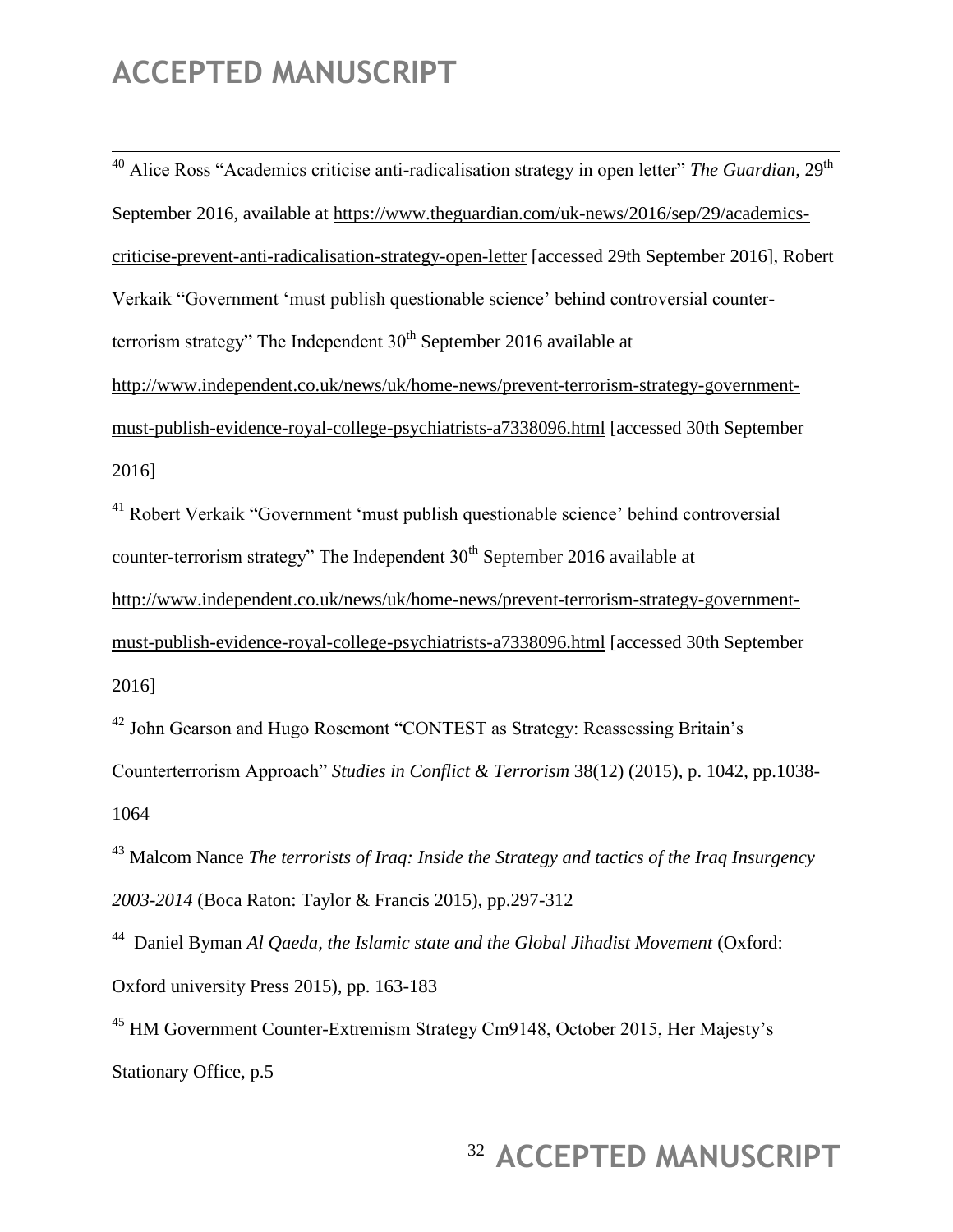l

<sup>40</sup> Alice Ross "Academics criticise anti-radicalisation strategy in open letter" *The Guardian*, 29<sup>th</sup> September 2016, available at [https://www.theguardian.com/uk-news/2016/sep/29/academics](https://www.theguardian.com/uk-news/2016/sep/29/academics-criticise-prevent-anti-radicalisation-strategy-open-letter)[criticise-prevent-anti-radicalisation-strategy-open-letter](https://www.theguardian.com/uk-news/2016/sep/29/academics-criticise-prevent-anti-radicalisation-strategy-open-letter) [accessed 29th September 2016], Robert Verkaik "Government "must publish questionable science" behind controversial counterterrorism strategy" The Independent  $30<sup>th</sup>$  September 2016 available at [http://www.independent.co.uk/news/uk/home-news/prevent-terrorism-strategy-government](http://www.independent.co.uk/news/uk/home-news/prevent-terrorism-strategy-government-must-publish-evidence-royal-college-psychiatrists-a7338096.html)[must-publish-evidence-royal-college-psychiatrists-a7338096.html](http://www.independent.co.uk/news/uk/home-news/prevent-terrorism-strategy-government-must-publish-evidence-royal-college-psychiatrists-a7338096.html) [accessed 30th September 2016]

<sup>41</sup> Robert Verkaik "Government 'must publish questionable science' behind controversial counter-terrorism strategy" The Independent  $30<sup>th</sup>$  September 2016 available at [http://www.independent.co.uk/news/uk/home-news/prevent-terrorism-strategy-government](http://www.independent.co.uk/news/uk/home-news/prevent-terrorism-strategy-government-must-publish-evidence-royal-college-psychiatrists-a7338096.html)[must-publish-evidence-royal-college-psychiatrists-a7338096.html](http://www.independent.co.uk/news/uk/home-news/prevent-terrorism-strategy-government-must-publish-evidence-royal-college-psychiatrists-a7338096.html) [accessed 30th September 2016]

<sup>42</sup> John Gearson and Hugo Rosemont "CONTEST as Strategy: Reassessing Britain's Counterterrorism Approach" *Studies in Conflict & Terrorism* 38(12) (2015), p. 1042, pp.1038- 1064

<sup>43</sup> Malcom Nance *The terrorists of Iraq: Inside the Strategy and tactics of the Iraq Insurgency 2003-2014* (Boca Raton: Taylor & Francis 2015), pp.297-312

44 Daniel Byman *Al Qaeda, the Islamic state and the Global Jihadist Movement* (Oxford: Oxford university Press 2015), pp. 163-183

<sup>45</sup> HM Government Counter-Extremism Strategy Cm9148, October 2015, Her Majesty"s Stationary Office, p.5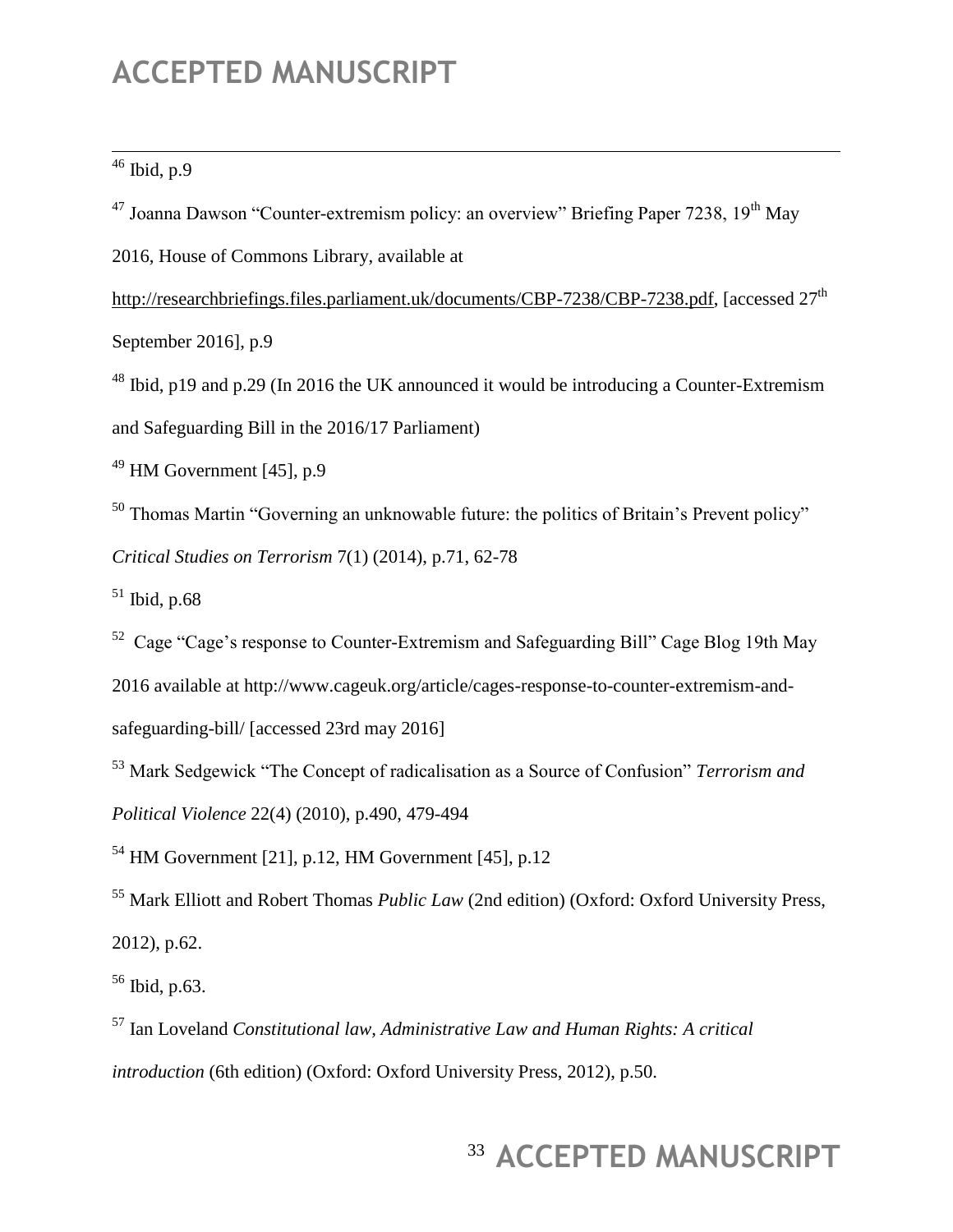#### l  $46$  Ibid, p.9

 $47$  Joanna Dawson "Counter-extremism policy: an overview" Briefing Paper 7238, 19<sup>th</sup> May

2016, House of Commons Library, available at

[http://researchbriefings.files.parliament.uk/documents/CBP-7238/CBP-7238.pdf,](http://researchbriefings.files.parliament.uk/documents/CBP-7238/CBP-7238.pdf) [accessed 27<sup>th</sup>]

September 2016], p.9

<sup>48</sup> Ibid, p19 and p.29 (In 2016 the UK announced it would be introducing a Counter-Extremism and Safeguarding Bill in the 2016/17 Parliament)

 $49$  HM Government [45], p.9

<sup>50</sup> Thomas Martin "Governing an unknowable future: the politics of Britain's Prevent policy" *Critical Studies on Terrorism* 7(1) (2014), p.71, 62-78

 $51$  Ibid, p.68

 $52$  Cage "Cage's response to Counter-Extremism and Safeguarding Bill" Cage Blog 19th May 2016 available at http://www.cageuk.org/article/cages-response-to-counter-extremism-andsafeguarding-bill/ [accessed 23rd may 2016]

<sup>53</sup> Mark Sedgewick "The Concept of radicalisation as a Source of Confusion" *Terrorism and Political Violence* 22(4) (2010), p.490, 479-494

 $<sup>54</sup>$  HM Government [21], p.12, HM Government [45], p.12</sup>

<sup>55</sup> Mark Elliott and Robert Thomas *Public Law* (2nd edition) (Oxford: Oxford University Press, 2012), p.62.

<sup>56</sup> Ibid, p.63.

<sup>57</sup> Ian Loveland *Constitutional law, Administrative Law and Human Rights: A critical introduction* (6th edition) (Oxford: Oxford University Press, 2012), p.50.

# <sup>33</sup> ACCEPTED MANUSCRIPT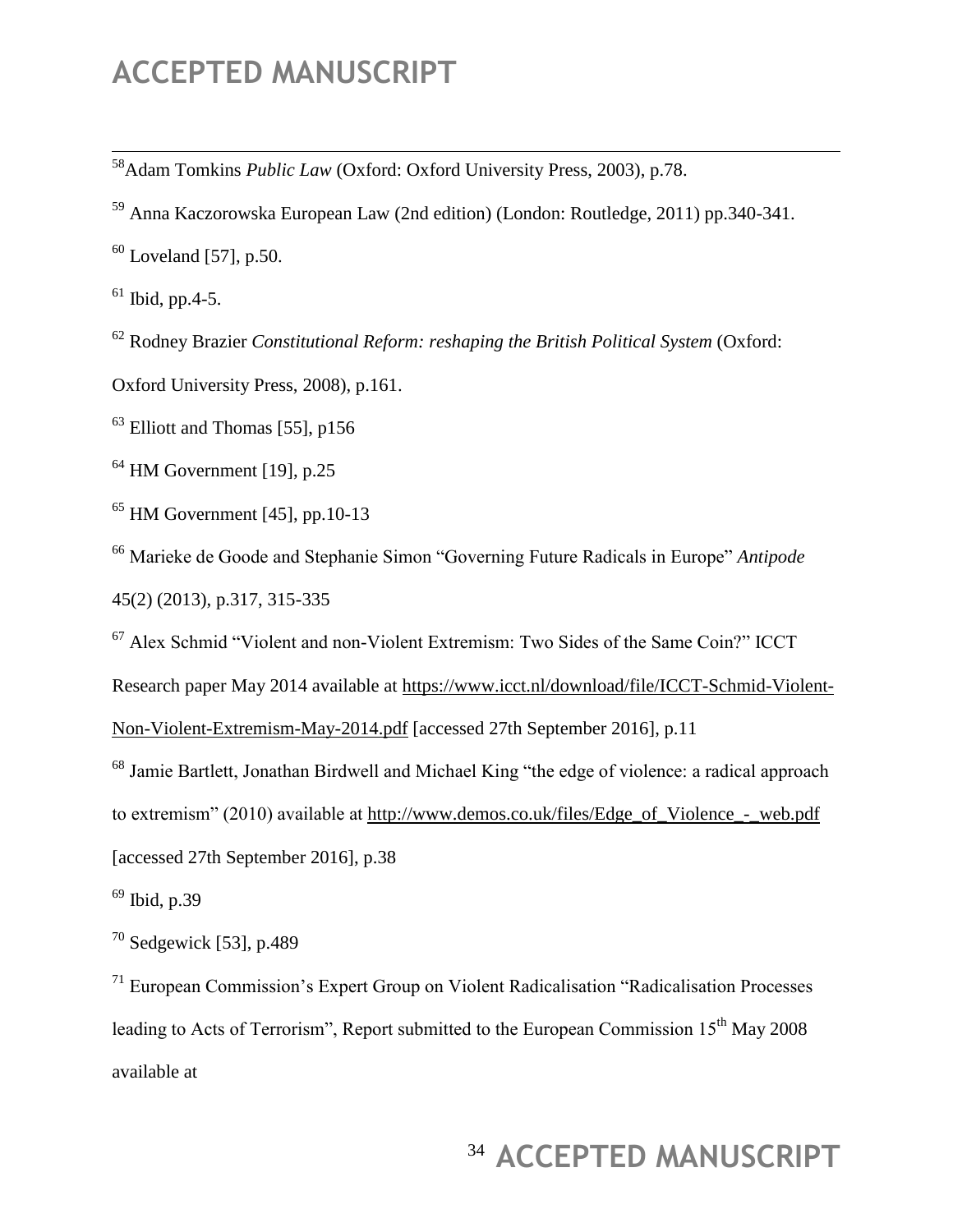<sup>58</sup>Adam Tomkins *Public Law* (Oxford: Oxford University Press, 2003), p.78.

<sup>59</sup> Anna Kaczorowska European Law (2nd edition) (London: Routledge, 2011) pp.340-341.

 $60$  Loveland [57], p.50.

 $61$  Ibid, pp.4-5.

l

<sup>62</sup> Rodney Brazier *Constitutional Reform: reshaping the British Political System* (Oxford:

Oxford University Press, 2008), p.161.

<sup>63</sup> Elliott and Thomas [55], p156

 $64$  HM Government [19], p.25

 $<sup>65</sup>$  HM Government [45], pp.10-13</sup>

<sup>66</sup> Marieke de Goode and Stephanie Simon "Governing Future Radicals in Europe" *Antipode* 45(2) (2013), p.317, 315-335

<sup>67</sup> Alex Schmid "Violent and non-Violent Extremism: Two Sides of the Same Coin?" ICCT

Research paper May 2014 available at [https://www.icct.nl/download/file/ICCT-Schmid-Violent-](https://www.icct.nl/download/file/ICCT-Schmid-Violent-Non-Violent-Extremism-May-2014.pdf)

[Non-Violent-Extremism-May-2014.pdf](https://www.icct.nl/download/file/ICCT-Schmid-Violent-Non-Violent-Extremism-May-2014.pdf) [accessed 27th September 2016], p.11

<sup>68</sup> Jamie Bartlett, Jonathan Birdwell and Michael King "the edge of violence: a radical approach to extremism" (2010) available at [http://www.demos.co.uk/files/Edge\\_of\\_Violence\\_-\\_web.pdf](http://www.demos.co.uk/files/Edge_of_Violence_-_web.pdf) [accessed 27th September 2016], p.38

 $69$  Ibid, p.39

 $70$  Sedgewick [53], p.489

<sup>71</sup> European Commission"s Expert Group on Violent Radicalisation "Radicalisation Processes leading to Acts of Terrorism". Report submitted to the European Commission 15<sup>th</sup> May 2008 available at

### <sup>34</sup> ACCEPTED MANUSCRIPT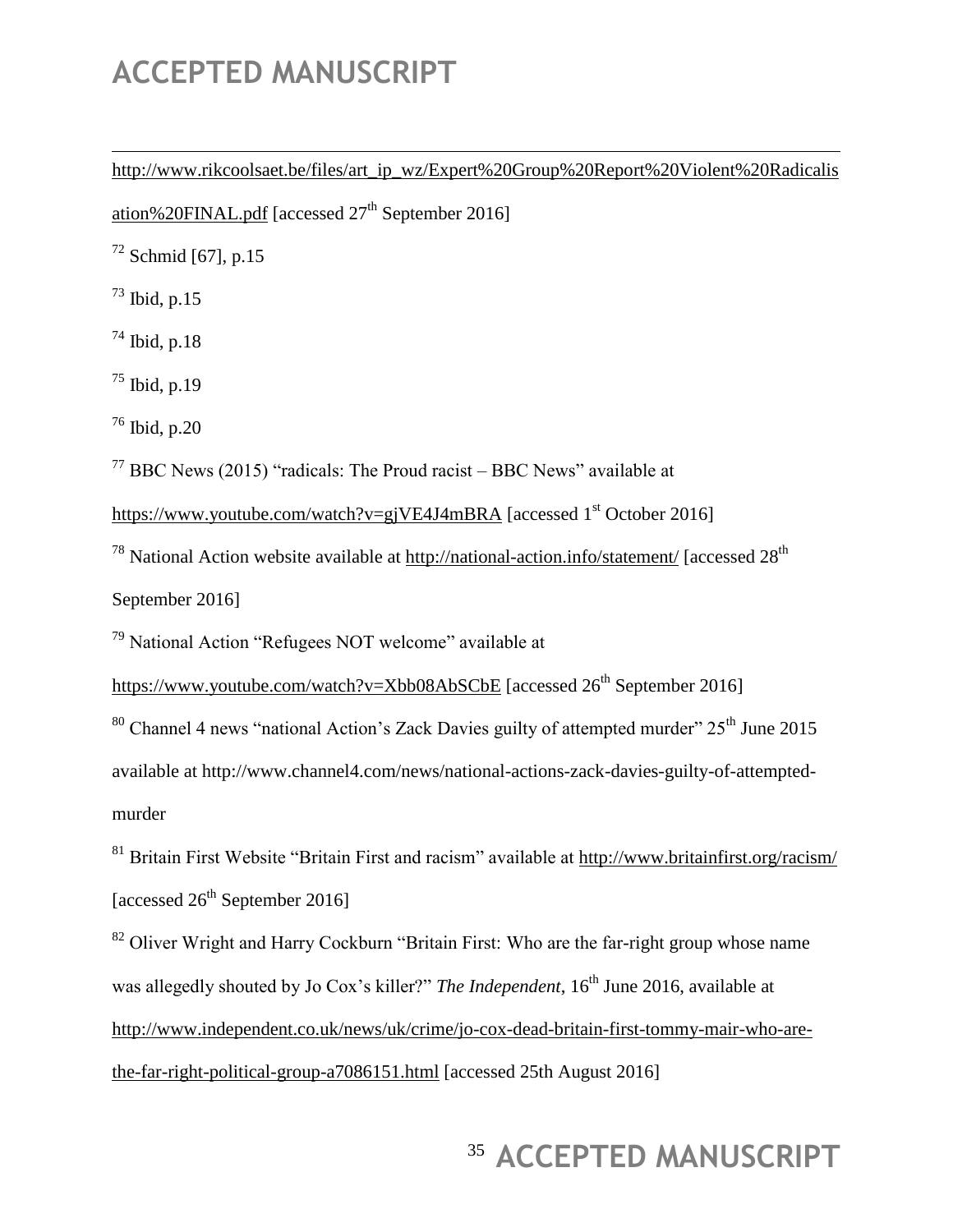[http://www.rikcoolsaet.be/files/art\\_ip\\_wz/Expert%20Group%20Report%20Violent%20Radicalis](http://www.rikcoolsaet.be/files/art_ip_wz/Expert%20Group%20Report%20Violent%20Radicalisation%20FINAL.pdf)

[ation%20FINAL.pdf](http://www.rikcoolsaet.be/files/art_ip_wz/Expert%20Group%20Report%20Violent%20Radicalisation%20FINAL.pdf) [accessed  $27<sup>th</sup>$  September 2016]

 $72$  Schmid [67], p.15

 $73$  Ibid, p.15

l

 $74$  Ibid, p.18

 $75$  Ibid, p.19

<sup>76</sup> Ibid, p.20

 $^{77}$  BBC News (2015) "radicals: The Proud racist – BBC News" available at

<https://www.youtube.com/watch?v=gjVE4J4mBRA> [accessed  $1<sup>st</sup>$  October 2016]

<sup>78</sup> National Action website available at<http://national-action.info/statement/> [accessed  $28<sup>th</sup>$ September 2016]

<sup>79</sup> National Action "Refugees NOT welcome" available at

<https://www.youtube.com/watch?v=Xbb08AbSCbE> [accessed  $26<sup>th</sup>$  September 2016]

 $80$  Channel 4 news "national Action's Zack Davies guilty of attempted murder"  $25<sup>th</sup>$  June 2015 available at http://www.channel4.com/news/national-actions-zack-davies-guilty-of-attemptedmurder

<sup>81</sup> Britain First Website "Britain First and racism" available at<http://www.britainfirst.org/racism/> [accessed  $26<sup>th</sup>$  September 2016]

<sup>82</sup> Oliver Wright and Harry Cockburn "Britain First: Who are the far-right group whose name was allegedly shouted by Jo Cox's killer?" *The Independent*, 16<sup>th</sup> June 2016, available at [http://www.independent.co.uk/news/uk/crime/jo-cox-dead-britain-first-tommy-mair-who-are](http://www.independent.co.uk/news/uk/crime/jo-cox-dead-britain-first-tommy-mair-who-are-the-far-right-political-group-a7086151.html)[the-far-right-political-group-a7086151.html](http://www.independent.co.uk/news/uk/crime/jo-cox-dead-britain-first-tommy-mair-who-are-the-far-right-political-group-a7086151.html) [accessed 25th August 2016]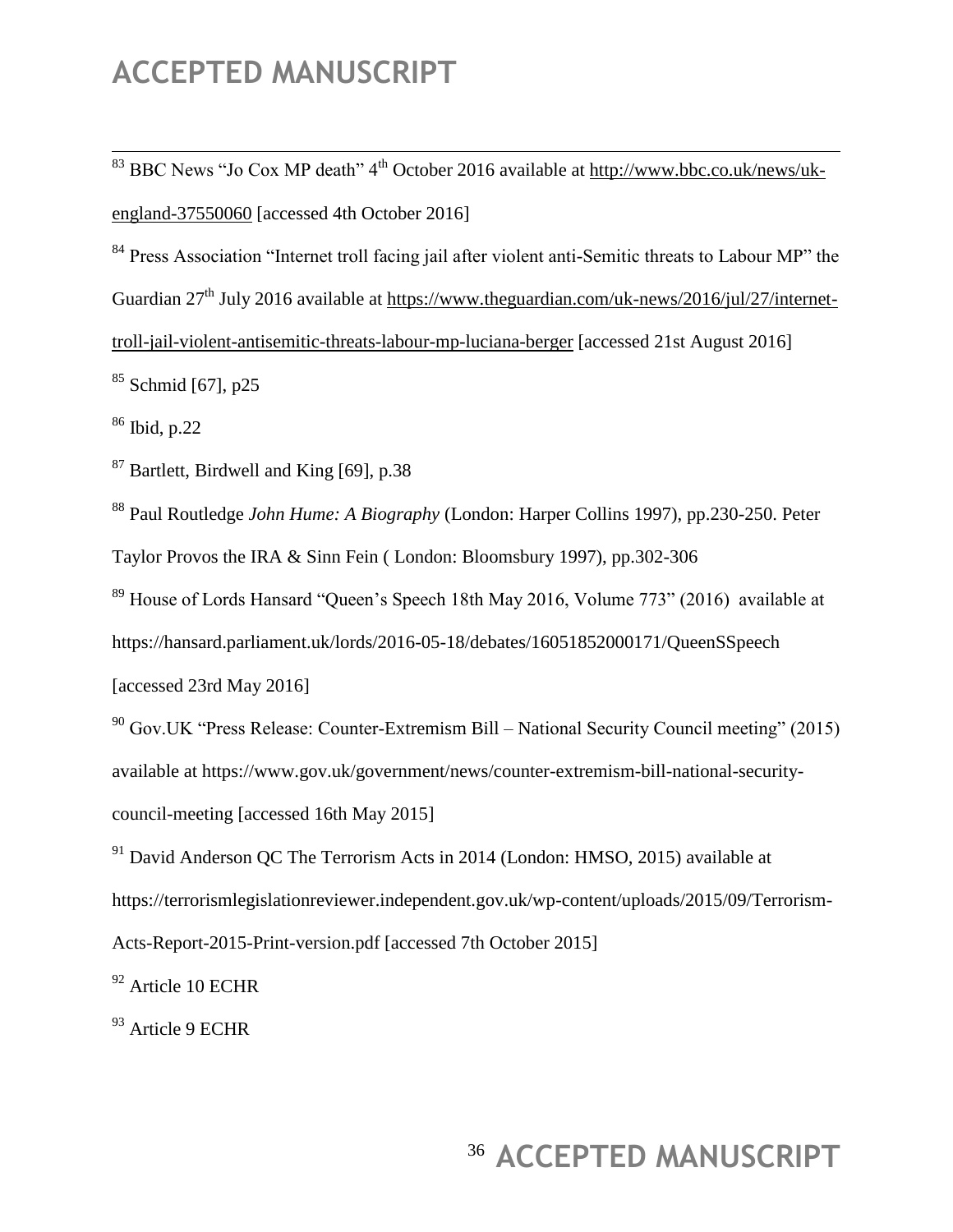$83$  BBC News "Jo Cox MP death"  $4<sup>th</sup>$  October 2016 available at [http://www.bbc.co.uk/news/uk](http://www.bbc.co.uk/news/uk-england-37550060)[england-37550060](http://www.bbc.co.uk/news/uk-england-37550060) [accessed 4th October 2016]

<sup>84</sup> Press Association "Internet troll facing jail after violent anti-Semitic threats to Labour MP" the Guardian  $27<sup>th</sup>$  July 2016 available at [https://www.theguardian.com/uk-news/2016/jul/27/internet](https://www.theguardian.com/uk-news/2016/jul/27/internet-troll-jail-violent-antisemitic-threats-labour-mp-luciana-berger)[troll-jail-violent-antisemitic-threats-labour-mp-luciana-berger](https://www.theguardian.com/uk-news/2016/jul/27/internet-troll-jail-violent-antisemitic-threats-labour-mp-luciana-berger) [accessed 21st August 2016]  $85$  Schmid [67], p25

<sup>86</sup> Ibid, p.22

l

<sup>87</sup> Bartlett, Birdwell and King [69], p.38

<sup>88</sup> Paul Routledge *John Hume: A Biography* (London: Harper Collins 1997), pp.230-250. Peter Taylor Provos the IRA & Sinn Fein ( London: Bloomsbury 1997), pp.302-306

<sup>89</sup> House of Lords Hansard "Queen"s Speech 18th May 2016, Volume 773" (2016) available at https://hansard.parliament.uk/lords/2016-05-18/debates/16051852000171/QueenSSpeech

[accessed 23rd May 2016]

<sup>90</sup> Gov.UK "Press Release: Counter-Extremism Bill – National Security Council meeting" (2015) available at https://www.gov.uk/government/news/counter-extremism-bill-national-securitycouncil-meeting [accessed 16th May 2015]

 $91$  David Anderson OC The Terrorism Acts in 2014 (London: HMSO, 2015) available at https://terrorismlegislationreviewer.independent.gov.uk/wp-content/uploads/2015/09/Terrorism-Acts-Report-2015-Print-version.pdf [accessed 7th October 2015]

<sup>92</sup> Article 10 ECHR

<sup>93</sup> Article 9 ECHR